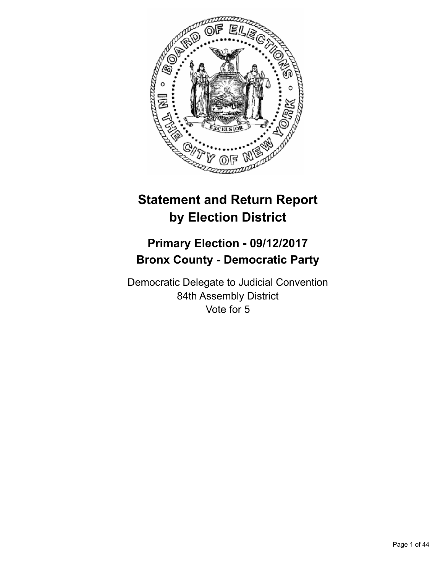

# **Statement and Return Report by Election District**

# **Primary Election - 09/12/2017 Bronx County - Democratic Party**

Democratic Delegate to Judicial Convention 84th Assembly District Vote for 5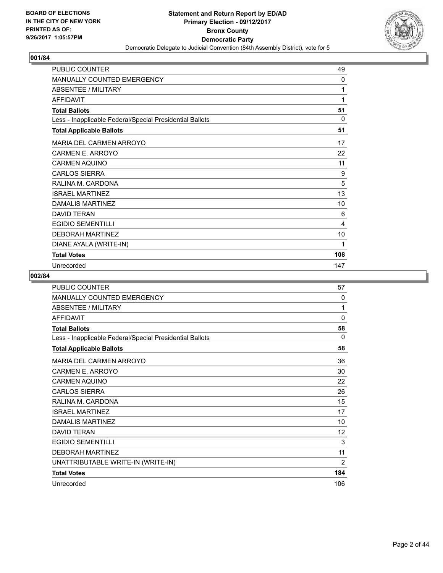

| <b>PUBLIC COUNTER</b>                                    | 49           |
|----------------------------------------------------------|--------------|
| <b>MANUALLY COUNTED EMERGENCY</b>                        | 0            |
| <b>ABSENTEE / MILITARY</b>                               | 1            |
| <b>AFFIDAVIT</b>                                         | $\mathbf{1}$ |
| <b>Total Ballots</b>                                     | 51           |
| Less - Inapplicable Federal/Special Presidential Ballots | $\Omega$     |
| <b>Total Applicable Ballots</b>                          | 51           |
| <b>MARIA DEL CARMEN ARROYO</b>                           | 17           |
| CARMEN E. ARROYO                                         | 22           |
| <b>CARMEN AQUINO</b>                                     | 11           |
| <b>CARLOS SIERRA</b>                                     | 9            |
| RALINA M. CARDONA                                        | 5            |
| <b>ISRAEL MARTINEZ</b>                                   | 13           |
| DAMALIS MARTINEZ                                         | 10           |
| <b>DAVID TERAN</b>                                       | 6            |
| <b>EGIDIO SEMENTILLI</b>                                 | 4            |
| <b>DEBORAH MARTINEZ</b>                                  | 10           |
| DIANE AYALA (WRITE-IN)                                   | 1            |
| <b>Total Votes</b>                                       | 108          |
| Unrecorded                                               | 147          |

| <b>PUBLIC COUNTER</b>                                    | 57       |
|----------------------------------------------------------|----------|
| <b>MANUALLY COUNTED EMERGENCY</b>                        | 0        |
| <b>ABSENTEE / MILITARY</b>                               | 1        |
| <b>AFFIDAVIT</b>                                         | 0        |
| <b>Total Ballots</b>                                     | 58       |
| Less - Inapplicable Federal/Special Presidential Ballots | $\Omega$ |
| <b>Total Applicable Ballots</b>                          | 58       |
| <b>MARIA DEL CARMEN ARROYO</b>                           | 36       |
| CARMEN E. ARROYO                                         | 30       |
| <b>CARMEN AQUINO</b>                                     | 22       |
| <b>CARLOS SIERRA</b>                                     | 26       |
| RALINA M. CARDONA                                        | 15       |
| <b>ISRAEL MARTINEZ</b>                                   | 17       |
| <b>DAMALIS MARTINEZ</b>                                  | 10       |
| <b>DAVID TERAN</b>                                       | 12       |
| <b>EGIDIO SEMENTILLI</b>                                 | 3        |
| <b>DEBORAH MARTINEZ</b>                                  | 11       |
| UNATTRIBUTABLE WRITE-IN (WRITE-IN)                       | 2        |
| <b>Total Votes</b>                                       | 184      |
| Unrecorded                                               | 106      |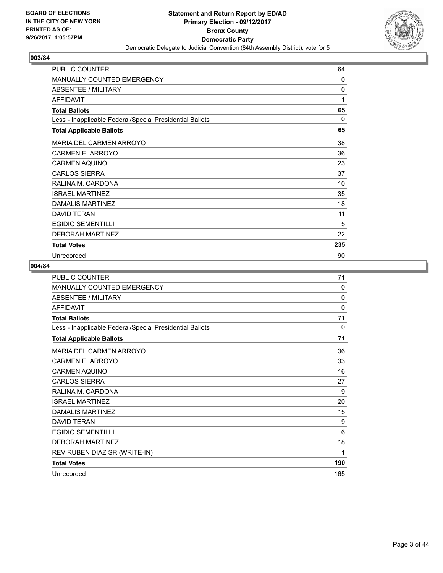

| <b>PUBLIC COUNTER</b>                                    | 64       |
|----------------------------------------------------------|----------|
| <b>MANUALLY COUNTED EMERGENCY</b>                        | 0        |
| <b>ABSENTEE / MILITARY</b>                               | 0        |
| <b>AFFIDAVIT</b>                                         | 1        |
| <b>Total Ballots</b>                                     | 65       |
| Less - Inapplicable Federal/Special Presidential Ballots | $\Omega$ |
| <b>Total Applicable Ballots</b>                          | 65       |
| <b>MARIA DEL CARMEN ARROYO</b>                           | 38       |
| CARMEN E. ARROYO                                         | 36       |
| <b>CARMEN AQUINO</b>                                     | 23       |
| <b>CARLOS SIERRA</b>                                     | 37       |
| RALINA M. CARDONA                                        | 10       |
| <b>ISRAEL MARTINEZ</b>                                   | 35       |
| <b>DAMALIS MARTINEZ</b>                                  | 18       |
| <b>DAVID TERAN</b>                                       | 11       |
| <b>EGIDIO SEMENTILLI</b>                                 | 5        |
| <b>DEBORAH MARTINEZ</b>                                  | 22       |
| <b>Total Votes</b>                                       | 235      |
| Unrecorded                                               | 90       |

| PUBLIC COUNTER                                           | 71       |
|----------------------------------------------------------|----------|
| MANUALLY COUNTED EMERGENCY                               | 0        |
| <b>ABSENTEE / MILITARY</b>                               | $\Omega$ |
| <b>AFFIDAVIT</b>                                         | $\Omega$ |
| <b>Total Ballots</b>                                     | 71       |
| Less - Inapplicable Federal/Special Presidential Ballots | 0        |
| <b>Total Applicable Ballots</b>                          | 71       |
| <b>MARIA DEL CARMEN ARROYO</b>                           | 36       |
| CARMEN E. ARROYO                                         | 33       |
| <b>CARMEN AQUINO</b>                                     | 16       |
| <b>CARLOS SIERRA</b>                                     | 27       |
| RALINA M. CARDONA                                        | 9        |
| <b>ISRAEL MARTINEZ</b>                                   | 20       |
| <b>DAMALIS MARTINEZ</b>                                  | 15       |
| <b>DAVID TERAN</b>                                       | 9        |
| <b>EGIDIO SEMENTILLI</b>                                 | 6        |
| <b>DEBORAH MARTINEZ</b>                                  | 18       |
| REV RUBEN DIAZ SR (WRITE-IN)                             | 1        |
| <b>Total Votes</b>                                       | 190      |
| Unrecorded                                               | 165      |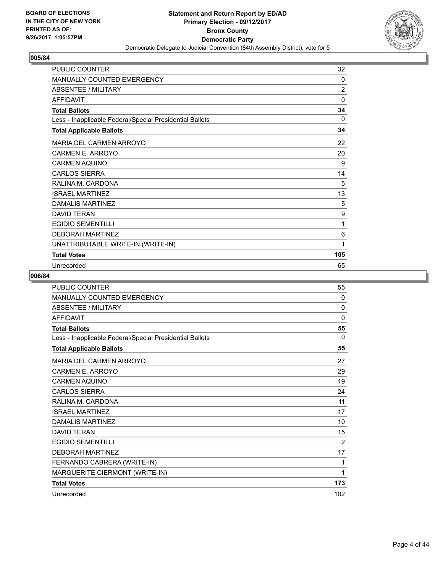

| <b>PUBLIC COUNTER</b>                                    | 32             |
|----------------------------------------------------------|----------------|
| MANUALLY COUNTED EMERGENCY                               | 0              |
| <b>ABSENTEE / MILITARY</b>                               | $\overline{2}$ |
| <b>AFFIDAVIT</b>                                         | $\mathbf{0}$   |
| <b>Total Ballots</b>                                     | 34             |
| Less - Inapplicable Federal/Special Presidential Ballots | 0              |
| <b>Total Applicable Ballots</b>                          | 34             |
| <b>MARIA DEL CARMEN ARROYO</b>                           | 22             |
| CARMEN E. ARROYO                                         | 20             |
| <b>CARMEN AQUINO</b>                                     | 9              |
| <b>CARLOS SIERRA</b>                                     | 14             |
| RALINA M. CARDONA                                        | 5              |
| <b>ISRAEL MARTINEZ</b>                                   | 13             |
| DAMALIS MARTINEZ                                         | 5              |
| <b>DAVID TERAN</b>                                       | 9              |
| <b>EGIDIO SEMENTILLI</b>                                 | 1              |
| <b>DEBORAH MARTINEZ</b>                                  | 6              |
| UNATTRIBUTABLE WRITE-IN (WRITE-IN)                       | 1              |
| <b>Total Votes</b>                                       | 105            |
| Unrecorded                                               | 65             |

| <b>PUBLIC COUNTER</b>                                    | 55       |
|----------------------------------------------------------|----------|
| <b>MANUALLY COUNTED EMERGENCY</b>                        | 0        |
| <b>ABSENTEE / MILITARY</b>                               | 0        |
| <b>AFFIDAVIT</b>                                         | 0        |
| <b>Total Ballots</b>                                     | 55       |
| Less - Inapplicable Federal/Special Presidential Ballots | $\Omega$ |
| <b>Total Applicable Ballots</b>                          | 55       |
| <b>MARIA DEL CARMEN ARROYO</b>                           | 27       |
| <b>CARMEN E. ARROYO</b>                                  | 29       |
| <b>CARMEN AQUINO</b>                                     | 19       |
| <b>CARLOS SIERRA</b>                                     | 24       |
| RAI INA M. CARDONA                                       | 11       |
| <b>ISRAFI MARTINFZ</b>                                   | 17       |
| <b>DAMALIS MARTINEZ</b>                                  | 10       |
| <b>DAVID TERAN</b>                                       | 15       |
| <b>EGIDIO SEMENTILLI</b>                                 | 2        |
| <b>DEBORAH MARTINEZ</b>                                  | 17       |
| FERNANDO CABRERA (WRITE-IN)                              | 1        |
| MARGUERITE CIERMONT (WRITE-IN)                           | 1        |
| <b>Total Votes</b>                                       | 173      |
| Unrecorded                                               | 102      |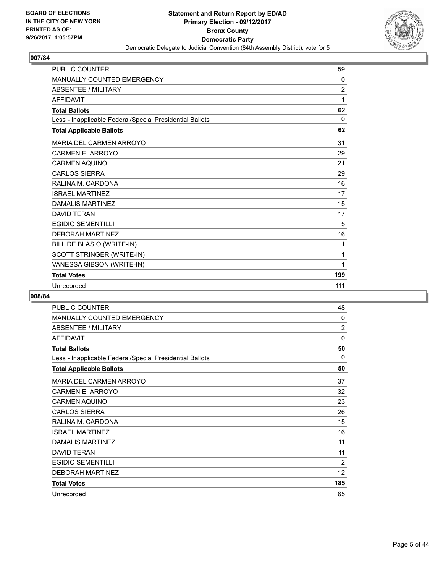

| PUBLIC COUNTER                                           | 59             |
|----------------------------------------------------------|----------------|
| <b>MANUALLY COUNTED EMERGENCY</b>                        | $\Omega$       |
| <b>ABSENTEE / MILITARY</b>                               | $\overline{2}$ |
| <b>AFFIDAVIT</b>                                         | 1              |
| <b>Total Ballots</b>                                     | 62             |
| Less - Inapplicable Federal/Special Presidential Ballots | 0              |
| <b>Total Applicable Ballots</b>                          | 62             |
| MARIA DEL CARMEN ARROYO                                  | 31             |
| CARMEN E. ARROYO                                         | 29             |
| <b>CARMEN AQUINO</b>                                     | 21             |
| <b>CARLOS SIERRA</b>                                     | 29             |
| RALINA M. CARDONA                                        | 16             |
| <b>ISRAFI MARTINFZ</b>                                   | 17             |
| <b>DAMALIS MARTINEZ</b>                                  | 15             |
| <b>DAVID TERAN</b>                                       | 17             |
| <b>EGIDIO SEMENTILLI</b>                                 | 5              |
| <b>DEBORAH MARTINEZ</b>                                  | 16             |
| BILL DE BLASIO (WRITE-IN)                                | 1              |
| SCOTT STRINGER (WRITE-IN)                                | 1              |
| VANESSA GIBSON (WRITE-IN)                                | 1              |
| <b>Total Votes</b>                                       | 199            |
| Unrecorded                                               | 111            |

| <b>PUBLIC COUNTER</b>                                    | 48             |
|----------------------------------------------------------|----------------|
| <b>MANUALLY COUNTED EMERGENCY</b>                        | 0              |
| <b>ABSENTEE / MILITARY</b>                               | $\overline{2}$ |
| <b>AFFIDAVIT</b>                                         | $\Omega$       |
| <b>Total Ballots</b>                                     | 50             |
| Less - Inapplicable Federal/Special Presidential Ballots | 0              |
| <b>Total Applicable Ballots</b>                          | 50             |
| <b>MARIA DEL CARMEN ARROYO</b>                           | 37             |
| CARMEN E. ARROYO                                         | 32             |
| CARMEN AQUINO                                            | 23             |
| <b>CARLOS SIERRA</b>                                     | 26             |
| RALINA M. CARDONA                                        | 15             |
| <b>ISRAEL MARTINEZ</b>                                   | 16             |
| <b>DAMALIS MARTINEZ</b>                                  | 11             |
| <b>DAVID TERAN</b>                                       | 11             |
| <b>EGIDIO SEMENTILLI</b>                                 | 2              |
| <b>DEBORAH MARTINEZ</b>                                  | 12             |
| <b>Total Votes</b>                                       | 185            |
| Unrecorded                                               | 65             |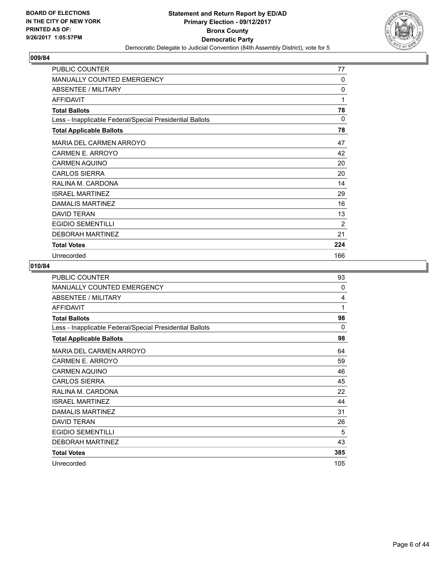

| PUBLIC COUNTER                                           | 77       |
|----------------------------------------------------------|----------|
| MANUALLY COUNTED EMERGENCY                               | 0        |
| ABSENTEE / MILITARY                                      | 0        |
| <b>AFFIDAVIT</b>                                         | 1        |
| <b>Total Ballots</b>                                     | 78       |
| Less - Inapplicable Federal/Special Presidential Ballots | $\Omega$ |
| <b>Total Applicable Ballots</b>                          | 78       |
| MARIA DEL CARMEN ARROYO                                  | 47       |
| CARMEN E. ARROYO                                         | 42       |
| <b>CARMEN AQUINO</b>                                     | 20       |
| <b>CARLOS SIERRA</b>                                     | 20       |
| RALINA M. CARDONA                                        | 14       |
| <b>ISRAEL MARTINEZ</b>                                   | 29       |
| DAMALIS MARTINEZ                                         | 16       |
| <b>DAVID TERAN</b>                                       | 13       |
| <b>EGIDIO SEMENTILLI</b>                                 | 2        |
| <b>DEBORAH MARTINEZ</b>                                  | 21       |
| <b>Total Votes</b>                                       | 224      |
| Unrecorded                                               | 166      |

| <b>PUBLIC COUNTER</b>                                    | 93  |
|----------------------------------------------------------|-----|
| <b>MANUALLY COUNTED EMERGENCY</b>                        | 0   |
| ABSENTEE / MILITARY                                      | 4   |
| <b>AFFIDAVIT</b>                                         | 1   |
| <b>Total Ballots</b>                                     | 98  |
| Less - Inapplicable Federal/Special Presidential Ballots | 0   |
| <b>Total Applicable Ballots</b>                          | 98  |
| MARIA DEL CARMEN ARROYO                                  | 64  |
| <b>CARMEN E. ARROYO</b>                                  | 59  |
| <b>CARMEN AQUINO</b>                                     | 46  |
| <b>CARLOS SIERRA</b>                                     | 45  |
| RALINA M. CARDONA                                        | 22  |
| <b>ISRAFI MARTINFZ</b>                                   | 44  |
| DAMALIS MARTINEZ                                         | 31  |
| <b>DAVID TERAN</b>                                       | 26  |
| <b>EGIDIO SEMENTILLI</b>                                 | 5   |
| <b>DEBORAH MARTINEZ</b>                                  | 43  |
| <b>Total Votes</b>                                       | 385 |
| Unrecorded                                               | 105 |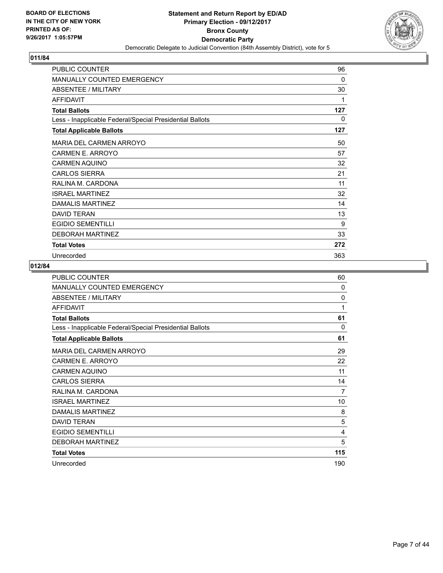

| PUBLIC COUNTER                                           | 96       |
|----------------------------------------------------------|----------|
| <b>MANUALLY COUNTED EMERGENCY</b>                        | $\Omega$ |
| ABSENTEE / MILITARY                                      | 30       |
| <b>AFFIDAVIT</b>                                         | 1        |
| <b>Total Ballots</b>                                     | 127      |
| Less - Inapplicable Federal/Special Presidential Ballots | 0        |
| <b>Total Applicable Ballots</b>                          | 127      |
| MARIA DEL CARMEN ARROYO                                  | 50       |
| <b>CARMEN E. ARROYO</b>                                  | 57       |
| <b>CARMEN AQUINO</b>                                     | 32       |
| <b>CARLOS SIERRA</b>                                     | 21       |
| RALINA M. CARDONA                                        | 11       |
| <b>ISRAEL MARTINEZ</b>                                   | 32       |
| DAMALIS MARTINEZ                                         | 14       |
| <b>DAVID TERAN</b>                                       | 13       |
| <b>EGIDIO SEMENTILLI</b>                                 | 9        |
| <b>DEBORAH MARTINEZ</b>                                  | 33       |
| <b>Total Votes</b>                                       | 272      |
| Unrecorded                                               | 363      |

| <b>PUBLIC COUNTER</b>                                    | 60       |
|----------------------------------------------------------|----------|
| <b>MANUALLY COUNTED EMERGENCY</b>                        | 0        |
| ABSENTEE / MILITARY                                      | $\Omega$ |
| <b>AFFIDAVIT</b>                                         | 1        |
| <b>Total Ballots</b>                                     | 61       |
| Less - Inapplicable Federal/Special Presidential Ballots | 0        |
| <b>Total Applicable Ballots</b>                          | 61       |
| MARIA DEL CARMEN ARROYO                                  | 29       |
| CARMEN E. ARROYO                                         | 22       |
| <b>CARMEN AQUINO</b>                                     | 11       |
| <b>CARLOS SIERRA</b>                                     | 14       |
| RALINA M. CARDONA                                        | 7        |
| <b>ISRAEL MARTINEZ</b>                                   | 10       |
| <b>DAMALIS MARTINEZ</b>                                  | 8        |
| <b>DAVID TERAN</b>                                       | 5        |
| <b>EGIDIO SEMENTILLI</b>                                 | 4        |
| <b>DEBORAH MARTINEZ</b>                                  | 5        |
| <b>Total Votes</b>                                       | 115      |
| Unrecorded                                               | 190      |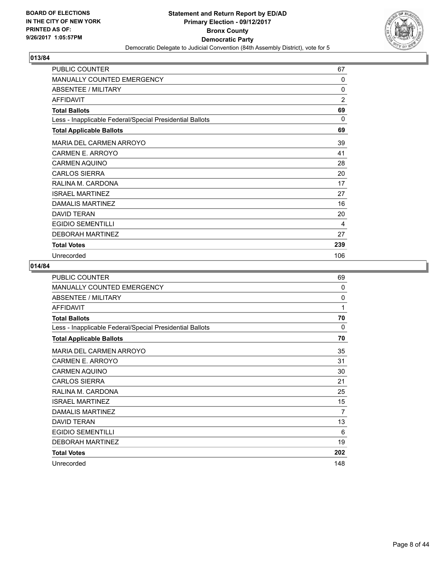

| <b>PUBLIC COUNTER</b>                                    | 67             |
|----------------------------------------------------------|----------------|
| <b>MANUALLY COUNTED EMERGENCY</b>                        | $\mathbf{0}$   |
| <b>ABSENTEE / MILITARY</b>                               | 0              |
| <b>AFFIDAVIT</b>                                         | $\overline{2}$ |
| <b>Total Ballots</b>                                     | 69             |
| Less - Inapplicable Federal/Special Presidential Ballots | $\Omega$       |
| <b>Total Applicable Ballots</b>                          | 69             |
| <b>MARIA DEL CARMEN ARROYO</b>                           | 39             |
| <b>CARMEN E. ARROYO</b>                                  | 41             |
| <b>CARMEN AQUINO</b>                                     | 28             |
| <b>CARLOS SIERRA</b>                                     | 20             |
| RALINA M. CARDONA                                        | 17             |
| <b>ISRAEL MARTINEZ</b>                                   | 27             |
| DAMALIS MARTINEZ                                         | 16             |
| <b>DAVID TERAN</b>                                       | 20             |
| <b>EGIDIO SEMENTILLI</b>                                 | 4              |
| <b>DEBORAH MARTINEZ</b>                                  | 27             |
| <b>Total Votes</b>                                       | 239            |
| Unrecorded                                               | 106            |

| PUBLIC COUNTER                                           | 69  |
|----------------------------------------------------------|-----|
| <b>MANUALLY COUNTED EMERGENCY</b>                        | 0   |
| <b>ABSENTEE / MILITARY</b>                               | 0   |
| <b>AFFIDAVIT</b>                                         | 1   |
| <b>Total Ballots</b>                                     | 70  |
| Less - Inapplicable Federal/Special Presidential Ballots | 0   |
| <b>Total Applicable Ballots</b>                          | 70  |
| MARIA DEL CARMEN ARROYO                                  | 35  |
| CARMEN E. ARROYO                                         | 31  |
| <b>CARMEN AQUINO</b>                                     | 30  |
| <b>CARLOS SIERRA</b>                                     | 21  |
| RALINA M. CARDONA                                        | 25  |
| <b>ISRAEL MARTINEZ</b>                                   | 15  |
| <b>DAMALIS MARTINEZ</b>                                  | 7   |
| <b>DAVID TERAN</b>                                       | 13  |
| <b>EGIDIO SEMENTILLI</b>                                 | 6   |
| <b>DEBORAH MARTINEZ</b>                                  | 19  |
| <b>Total Votes</b>                                       | 202 |
| Unrecorded                                               | 148 |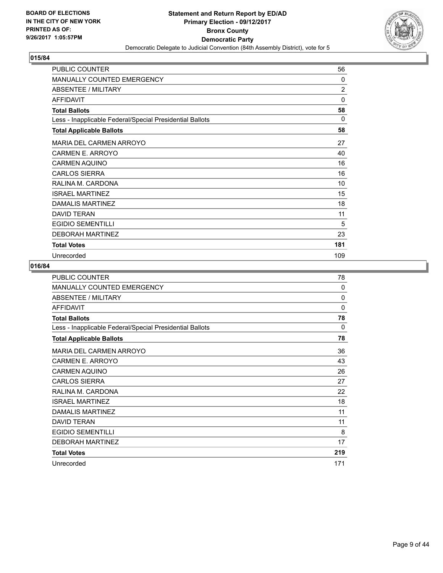

| PUBLIC COUNTER                                           | 56             |
|----------------------------------------------------------|----------------|
| <b>MANUALLY COUNTED EMERGENCY</b>                        | 0              |
| ABSENTEE / MILITARY                                      | $\overline{2}$ |
| <b>AFFIDAVIT</b>                                         | 0              |
| <b>Total Ballots</b>                                     | 58             |
| Less - Inapplicable Federal/Special Presidential Ballots | $\Omega$       |
| <b>Total Applicable Ballots</b>                          | 58             |
| MARIA DEL CARMEN ARROYO                                  | 27             |
| <b>CARMEN E. ARROYO</b>                                  | 40             |
| <b>CARMEN AQUINO</b>                                     | 16             |
| <b>CARLOS SIERRA</b>                                     | 16             |
| RALINA M. CARDONA                                        | 10             |
| <b>ISRAEL MARTINEZ</b>                                   | 15             |
| DAMALIS MARTINEZ                                         | 18             |
| <b>DAVID TERAN</b>                                       | 11             |
| <b>EGIDIO SEMENTILLI</b>                                 | 5              |
| <b>DEBORAH MARTINEZ</b>                                  | 23             |
| <b>Total Votes</b>                                       | 181            |
| Unrecorded                                               | 109            |

| PUBLIC COUNTER                                           | 78  |
|----------------------------------------------------------|-----|
| <b>MANUALLY COUNTED EMERGENCY</b>                        | 0   |
| <b>ABSENTEE / MILITARY</b>                               | 0   |
| <b>AFFIDAVIT</b>                                         | 0   |
| <b>Total Ballots</b>                                     | 78  |
| Less - Inapplicable Federal/Special Presidential Ballots | 0   |
| <b>Total Applicable Ballots</b>                          | 78  |
| MARIA DEL CARMEN ARROYO                                  | 36  |
| CARMEN E. ARROYO                                         | 43  |
| <b>CARMEN AQUINO</b>                                     | 26  |
| <b>CARLOS SIERRA</b>                                     | 27  |
| RALINA M. CARDONA                                        | 22  |
| <b>ISRAEL MARTINEZ</b>                                   | 18  |
| <b>DAMALIS MARTINEZ</b>                                  | 11  |
| <b>DAVID TERAN</b>                                       | 11  |
| <b>EGIDIO SEMENTILLI</b>                                 | 8   |
| <b>DEBORAH MARTINEZ</b>                                  | 17  |
| <b>Total Votes</b>                                       | 219 |
| Unrecorded                                               | 171 |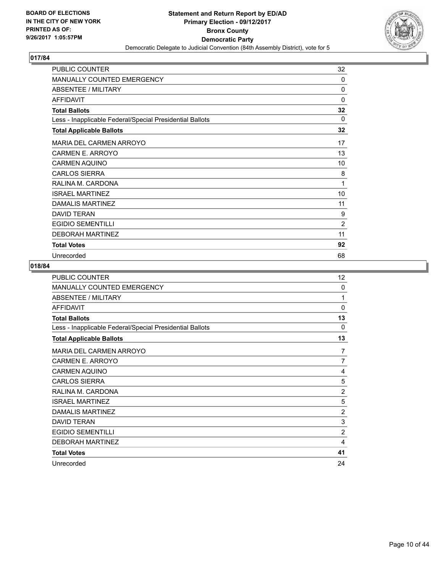

| PUBLIC COUNTER                                           | 32             |
|----------------------------------------------------------|----------------|
| MANUALLY COUNTED EMERGENCY                               | 0              |
| <b>ABSENTEE / MILITARY</b>                               | 0              |
| <b>AFFIDAVIT</b>                                         | 0              |
| <b>Total Ballots</b>                                     | 32             |
| Less - Inapplicable Federal/Special Presidential Ballots | $\mathbf{0}$   |
| <b>Total Applicable Ballots</b>                          | 32             |
| <b>MARIA DEL CARMEN ARROYO</b>                           | 17             |
| CARMEN E. ARROYO                                         | 13             |
| <b>CARMEN AQUINO</b>                                     | 10             |
| <b>CARLOS SIERRA</b>                                     | 8              |
| RALINA M. CARDONA                                        | 1              |
| <b>ISRAEL MARTINEZ</b>                                   | 10             |
| DAMALIS MARTINEZ                                         | 11             |
| <b>DAVID TERAN</b>                                       | 9              |
| <b>EGIDIO SEMENTILLI</b>                                 | $\overline{2}$ |
| <b>DEBORAH MARTINEZ</b>                                  | 11             |
| <b>Total Votes</b>                                       | 92             |
| Unrecorded                                               | 68             |

| <b>PUBLIC COUNTER</b>                                    | 12             |
|----------------------------------------------------------|----------------|
| <b>MANUALLY COUNTED EMERGENCY</b>                        | $\Omega$       |
| ABSENTEE / MILITARY                                      | 1              |
| <b>AFFIDAVIT</b>                                         | $\Omega$       |
| <b>Total Ballots</b>                                     | 13             |
| Less - Inapplicable Federal/Special Presidential Ballots | 0              |
| <b>Total Applicable Ballots</b>                          | 13             |
| MARIA DEL CARMEN ARROYO                                  | 7              |
| CARMEN E. ARROYO                                         | 7              |
| <b>CARMEN AQUINO</b>                                     | 4              |
| <b>CARLOS SIERRA</b>                                     | 5              |
| RALINA M. CARDONA                                        | $\overline{2}$ |
| <b>ISRAEL MARTINEZ</b>                                   | 5              |
| <b>DAMALIS MARTINEZ</b>                                  | $\overline{2}$ |
| <b>DAVID TERAN</b>                                       | 3              |
| <b>EGIDIO SEMENTILLI</b>                                 | $\overline{2}$ |
| <b>DEBORAH MARTINEZ</b>                                  | 4              |
| <b>Total Votes</b>                                       | 41             |
| Unrecorded                                               | 24             |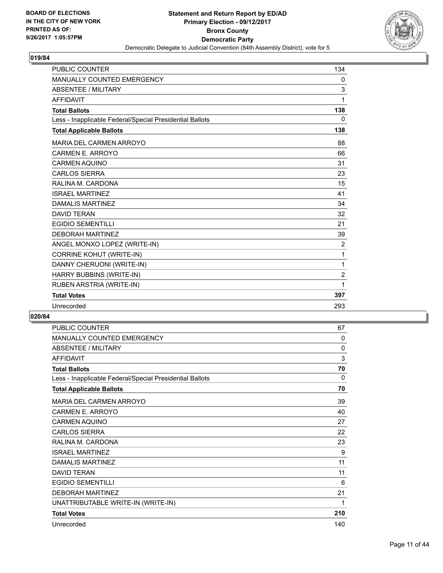

| <b>PUBLIC COUNTER</b>                                    | 134            |
|----------------------------------------------------------|----------------|
| <b>MANUALLY COUNTED EMERGENCY</b>                        | 0              |
| <b>ABSENTEE / MILITARY</b>                               | 3              |
| <b>AFFIDAVIT</b>                                         | 1              |
| <b>Total Ballots</b>                                     | 138            |
| Less - Inapplicable Federal/Special Presidential Ballots | 0              |
| <b>Total Applicable Ballots</b>                          | 138            |
| MARIA DEL CARMEN ARROYO                                  | 88             |
| CARMEN E. ARROYO                                         | 66             |
| <b>CARMEN AQUINO</b>                                     | 31             |
| <b>CARLOS SIERRA</b>                                     | 23             |
| RALINA M. CARDONA                                        | 15             |
| <b>ISRAEL MARTINEZ</b>                                   | 41             |
| <b>DAMALIS MARTINEZ</b>                                  | 34             |
| <b>DAVID TERAN</b>                                       | 32             |
| <b>EGIDIO SEMENTILLI</b>                                 | 21             |
| <b>DEBORAH MARTINEZ</b>                                  | 39             |
| ANGEL MONXO LOPEZ (WRITE-IN)                             | 2              |
| <b>CORRINE KOHUT (WRITE-IN)</b>                          | 1              |
| DANNY CHERUONI (WRITE-IN)                                | 1              |
| HARRY BUBBINS (WRITE-IN)                                 | $\overline{2}$ |
| RUBEN ARSTRIA (WRITE-IN)                                 | 1              |
| <b>Total Votes</b>                                       | 397            |
| Unrecorded                                               | 293            |

| PUBLIC COUNTER                                           | 67       |
|----------------------------------------------------------|----------|
| <b>MANUALLY COUNTED EMERGENCY</b>                        | $\Omega$ |
| <b>ABSENTEE / MILITARY</b>                               | 0        |
| <b>AFFIDAVIT</b>                                         | 3        |
| <b>Total Ballots</b>                                     | 70       |
| Less - Inapplicable Federal/Special Presidential Ballots | 0        |
| <b>Total Applicable Ballots</b>                          | 70       |
| MARIA DEL CARMEN ARROYO                                  | 39       |
| CARMEN E. ARROYO                                         | 40       |
| <b>CARMEN AQUINO</b>                                     | 27       |
| <b>CARLOS SIERRA</b>                                     | 22       |
| RALINA M. CARDONA                                        | 23       |
| <b>ISRAEL MARTINEZ</b>                                   | 9        |
| <b>DAMALIS MARTINEZ</b>                                  | 11       |
| <b>DAVID TERAN</b>                                       | 11       |
| <b>EGIDIO SEMENTILLI</b>                                 | 6        |
| <b>DEBORAH MARTINEZ</b>                                  | 21       |
| UNATTRIBUTABLE WRITE-IN (WRITE-IN)                       | 1        |
| <b>Total Votes</b>                                       | 210      |
| Unrecorded                                               | 140      |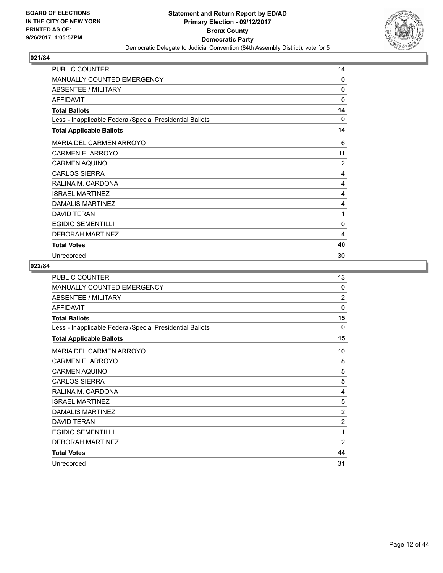

| <b>PUBLIC COUNTER</b>                                    | 14             |
|----------------------------------------------------------|----------------|
| <b>MANUALLY COUNTED EMERGENCY</b>                        | 0              |
| <b>ABSENTEE / MILITARY</b>                               | 0              |
| <b>AFFIDAVIT</b>                                         | 0              |
| <b>Total Ballots</b>                                     | 14             |
| Less - Inapplicable Federal/Special Presidential Ballots | $\Omega$       |
| <b>Total Applicable Ballots</b>                          | 14             |
| MARIA DEL CARMEN ARROYO                                  | 6              |
| CARMEN E. ARROYO                                         | 11             |
| <b>CARMEN AQUINO</b>                                     | $\overline{2}$ |
| <b>CARLOS SIERRA</b>                                     | 4              |
| RALINA M. CARDONA                                        | 4              |
| <b>ISRAEL MARTINEZ</b>                                   | 4              |
| <b>DAMALIS MARTINEZ</b>                                  | 4              |
| <b>DAVID TERAN</b>                                       | 1              |
| <b>EGIDIO SEMENTILLI</b>                                 | 0              |
| <b>DEBORAH MARTINEZ</b>                                  | 4              |
| <b>Total Votes</b>                                       | 40             |
| Unrecorded                                               | 30             |

| <b>PUBLIC COUNTER</b>                                    | 13             |
|----------------------------------------------------------|----------------|
| <b>MANUALLY COUNTED EMERGENCY</b>                        | 0              |
| <b>ABSENTEE / MILITARY</b>                               | $\overline{2}$ |
| <b>AFFIDAVIT</b>                                         | $\Omega$       |
| <b>Total Ballots</b>                                     | 15             |
| Less - Inapplicable Federal/Special Presidential Ballots | 0              |
| <b>Total Applicable Ballots</b>                          | 15             |
| MARIA DEL CARMEN ARROYO                                  | 10             |
| CARMEN E. ARROYO                                         | 8              |
| <b>CARMEN AQUINO</b>                                     | 5              |
| <b>CARLOS SIERRA</b>                                     | 5              |
| RALINA M. CARDONA                                        | 4              |
| <b>ISRAEL MARTINEZ</b>                                   | 5              |
| <b>DAMALIS MARTINEZ</b>                                  | $\overline{2}$ |
| <b>DAVID TERAN</b>                                       | $\overline{2}$ |
| <b>EGIDIO SEMENTILLI</b>                                 | 1              |
| <b>DEBORAH MARTINEZ</b>                                  | $\overline{2}$ |
| <b>Total Votes</b>                                       | 44             |
| Unrecorded                                               | 31             |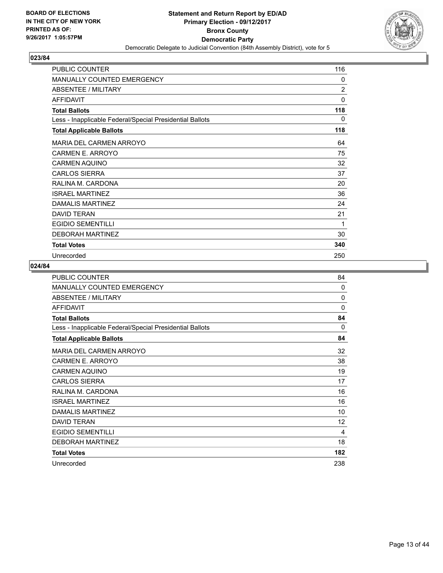

| <b>PUBLIC COUNTER</b>                                    | 116            |
|----------------------------------------------------------|----------------|
| <b>MANUALLY COUNTED EMERGENCY</b>                        | 0              |
| <b>ABSENTEE / MILITARY</b>                               | $\overline{2}$ |
| <b>AFFIDAVIT</b>                                         | 0              |
| <b>Total Ballots</b>                                     | 118            |
| Less - Inapplicable Federal/Special Presidential Ballots | 0              |
| <b>Total Applicable Ballots</b>                          | 118            |
| <b>MARIA DEL CARMEN ARROYO</b>                           | 64             |
| <b>CARMEN E. ARROYO</b>                                  | 75             |
| <b>CARMEN AQUINO</b>                                     | 32             |
| <b>CARLOS SIERRA</b>                                     | 37             |
| RALINA M. CARDONA                                        | 20             |
| <b>ISRAEL MARTINEZ</b>                                   | 36             |
| DAMALIS MARTINEZ                                         | 24             |
| <b>DAVID TERAN</b>                                       | 21             |
| <b>EGIDIO SEMENTILLI</b>                                 | 1              |
| <b>DEBORAH MARTINEZ</b>                                  | 30             |
| <b>Total Votes</b>                                       | 340            |
| Unrecorded                                               | 250            |

| <b>PUBLIC COUNTER</b>                                    | 84       |
|----------------------------------------------------------|----------|
| <b>MANUALLY COUNTED EMERGENCY</b>                        | 0        |
| <b>ABSENTEE / MILITARY</b>                               | 0        |
| <b>AFFIDAVIT</b>                                         | $\Omega$ |
| <b>Total Ballots</b>                                     | 84       |
| Less - Inapplicable Federal/Special Presidential Ballots | 0        |
| <b>Total Applicable Ballots</b>                          | 84       |
| MARIA DEL CARMEN ARROYO                                  | 32       |
| CARMEN E. ARROYO                                         | 38       |
| <b>CARMEN AQUINO</b>                                     | 19       |
| <b>CARLOS SIERRA</b>                                     | 17       |
| RALINA M. CARDONA                                        | 16       |
| <b>ISRAEL MARTINEZ</b>                                   | 16       |
| <b>DAMALIS MARTINEZ</b>                                  | 10       |
| <b>DAVID TERAN</b>                                       | 12       |
| <b>EGIDIO SEMENTILLI</b>                                 | 4        |
| <b>DEBORAH MARTINEZ</b>                                  | 18       |
| <b>Total Votes</b>                                       | 182      |
| Unrecorded                                               | 238      |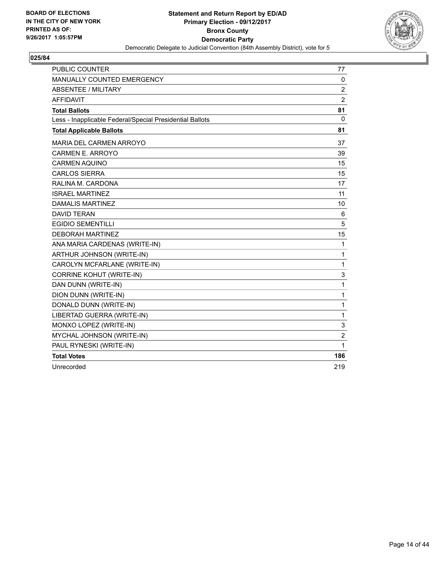

| <b>PUBLIC COUNTER</b>                                    | 77             |
|----------------------------------------------------------|----------------|
| MANUALLY COUNTED EMERGENCY                               | 0              |
| <b>ABSENTEE / MILITARY</b>                               | 2              |
| <b>AFFIDAVIT</b>                                         | $\overline{2}$ |
| <b>Total Ballots</b>                                     | 81             |
| Less - Inapplicable Federal/Special Presidential Ballots | 0              |
| <b>Total Applicable Ballots</b>                          | 81             |
| MARIA DEL CARMEN ARROYO                                  | 37             |
| CARMEN E. ARROYO                                         | 39             |
| <b>CARMEN AQUINO</b>                                     | 15             |
| <b>CARLOS SIERRA</b>                                     | 15             |
| RALINA M. CARDONA                                        | 17             |
| <b>ISRAEL MARTINEZ</b>                                   | 11             |
| <b>DAMALIS MARTINEZ</b>                                  | 10             |
| <b>DAVID TERAN</b>                                       | 6              |
| <b>EGIDIO SEMENTILLI</b>                                 | 5              |
| <b>DEBORAH MARTINEZ</b>                                  | 15             |
| ANA MARIA CARDENAS (WRITE-IN)                            | 1              |
| ARTHUR JOHNSON (WRITE-IN)                                | 1              |
| CAROLYN MCFARLANE (WRITE-IN)                             | 1              |
| <b>CORRINE KOHUT (WRITE-IN)</b>                          | 3              |
| DAN DUNN (WRITE-IN)                                      | 1              |
| DION DUNN (WRITE-IN)                                     | 1              |
| DONALD DUNN (WRITE-IN)                                   | 1              |
| LIBERTAD GUERRA (WRITE-IN)                               | 1              |
| MONXO LOPEZ (WRITE-IN)                                   | 3              |
| MYCHAL JOHNSON (WRITE-IN)                                | $\overline{2}$ |
| PAUL RYNESKI (WRITE-IN)                                  | 1              |
| <b>Total Votes</b>                                       | 186            |
| Unrecorded                                               | 219            |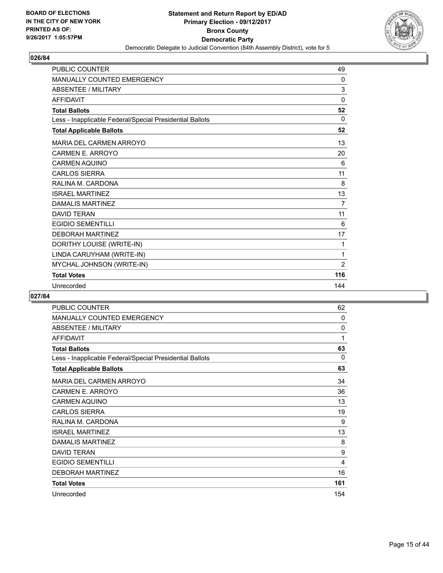

| <b>PUBLIC COUNTER</b>                                    | 49           |
|----------------------------------------------------------|--------------|
| <b>MANUALLY COUNTED EMERGENCY</b>                        | $\mathbf{0}$ |
| <b>ABSENTEE / MILITARY</b>                               | 3            |
| <b>AFFIDAVIT</b>                                         | $\mathbf 0$  |
| <b>Total Ballots</b>                                     | 52           |
| Less - Inapplicable Federal/Special Presidential Ballots | $\Omega$     |
| <b>Total Applicable Ballots</b>                          | 52           |
| MARIA DEL CARMEN ARROYO                                  | 13           |
| <b>CARMEN E. ARROYO</b>                                  | 20           |
| <b>CARMEN AQUINO</b>                                     | 6            |
| <b>CARLOS SIERRA</b>                                     | 11           |
| RALINA M. CARDONA                                        | 8            |
| <b>ISRAFI MARTINFZ</b>                                   | 13           |
| <b>DAMALIS MARTINEZ</b>                                  | 7            |
| <b>DAVID TERAN</b>                                       | 11           |
| <b>EGIDIO SEMENTILLI</b>                                 | 6            |
| <b>DEBORAH MARTINEZ</b>                                  | 17           |
| DORITHY LOUISE (WRITE-IN)                                | 1            |
| LINDA CARUYHAM (WRITE-IN)                                | 1            |
| MYCHAL JOHNSON (WRITE-IN)                                | 2            |
| <b>Total Votes</b>                                       | 116          |
| Unrecorded                                               | 144          |

| PUBLIC COUNTER                                           | 62  |
|----------------------------------------------------------|-----|
| <b>MANUALLY COUNTED EMERGENCY</b>                        | 0   |
| <b>ABSENTEE / MILITARY</b>                               | 0   |
| <b>AFFIDAVIT</b>                                         | 1   |
| <b>Total Ballots</b>                                     | 63  |
| Less - Inapplicable Federal/Special Presidential Ballots | 0   |
| <b>Total Applicable Ballots</b>                          | 63  |
| MARIA DEL CARMEN ARROYO                                  | 34  |
| CARMEN E. ARROYO                                         | 36  |
| <b>CARMEN AQUINO</b>                                     | 13  |
| <b>CARLOS SIERRA</b>                                     | 19  |
| RALINA M. CARDONA                                        | 9   |
| <b>ISRAEL MARTINEZ</b>                                   | 13  |
| <b>DAMALIS MARTINEZ</b>                                  | 8   |
| <b>DAVID TERAN</b>                                       | 9   |
| <b>EGIDIO SEMENTILLI</b>                                 | 4   |
| <b>DEBORAH MARTINEZ</b>                                  | 16  |
| <b>Total Votes</b>                                       | 161 |
| Unrecorded                                               | 154 |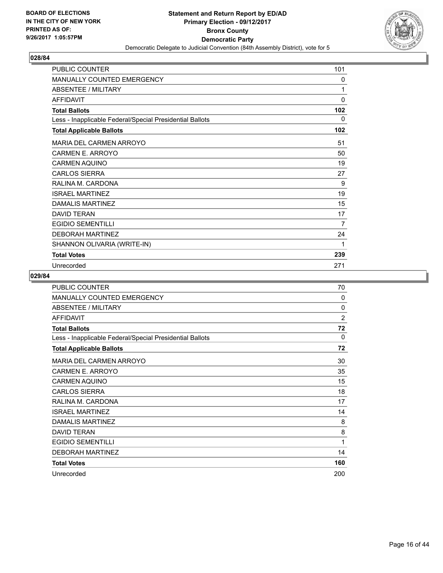

| <b>PUBLIC COUNTER</b>                                    | 101          |
|----------------------------------------------------------|--------------|
| <b>MANUALLY COUNTED EMERGENCY</b>                        | 0            |
| ABSENTEE / MILITARY                                      | 1            |
| <b>AFFIDAVIT</b>                                         | $\mathbf{0}$ |
| <b>Total Ballots</b>                                     | 102          |
| Less - Inapplicable Federal/Special Presidential Ballots | 0            |
| <b>Total Applicable Ballots</b>                          | 102          |
| MARIA DEL CARMEN ARROYO                                  | 51           |
| <b>CARMEN E. ARROYO</b>                                  | 50           |
| <b>CARMEN AQUINO</b>                                     | 19           |
| <b>CARLOS SIERRA</b>                                     | 27           |
| RALINA M. CARDONA                                        | 9            |
| <b>ISRAEL MARTINEZ</b>                                   | 19           |
| DAMALIS MARTINEZ                                         | 15           |
| <b>DAVID TERAN</b>                                       | 17           |
| <b>EGIDIO SEMENTILLI</b>                                 | 7            |
| <b>DEBORAH MARTINEZ</b>                                  | 24           |
| SHANNON OLIVARIA (WRITE-IN)                              | 1            |
| <b>Total Votes</b>                                       | 239          |
| Unrecorded                                               | 271          |

| <b>PUBLIC COUNTER</b>                                    | 70  |
|----------------------------------------------------------|-----|
| <b>MANUALLY COUNTED EMERGENCY</b>                        | 0   |
| <b>ABSENTEE / MILITARY</b>                               | 0   |
| <b>AFFIDAVIT</b>                                         | 2   |
| <b>Total Ballots</b>                                     | 72  |
| Less - Inapplicable Federal/Special Presidential Ballots | 0   |
| <b>Total Applicable Ballots</b>                          | 72  |
| <b>MARIA DEL CARMEN ARROYO</b>                           | 30  |
| CARMEN E. ARROYO                                         | 35  |
| CARMEN AQUINO                                            | 15  |
| <b>CARLOS SIERRA</b>                                     | 18  |
| RALINA M. CARDONA                                        | 17  |
| <b>ISRAEL MARTINEZ</b>                                   | 14  |
| DAMALIS MARTINEZ                                         | 8   |
| <b>DAVID TERAN</b>                                       | 8   |
| <b>EGIDIO SEMENTILLI</b>                                 | 1   |
| <b>DEBORAH MARTINEZ</b>                                  | 14  |
| <b>Total Votes</b>                                       | 160 |
| Unrecorded                                               | 200 |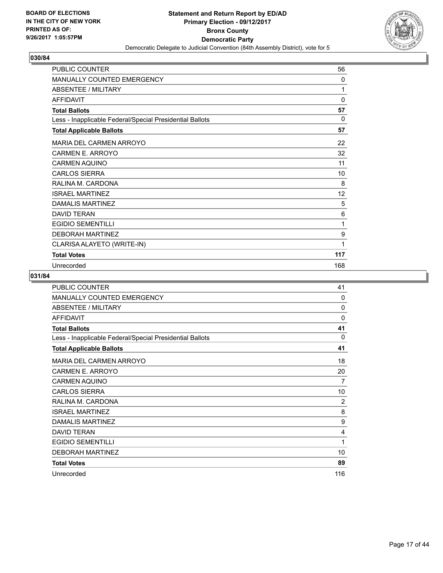

| <b>PUBLIC COUNTER</b>                                    | 56           |
|----------------------------------------------------------|--------------|
| MANUALLY COUNTED EMERGENCY                               | 0            |
| <b>ABSENTEE / MILITARY</b>                               | 1            |
| <b>AFFIDAVIT</b>                                         | $\mathbf{0}$ |
| <b>Total Ballots</b>                                     | 57           |
| Less - Inapplicable Federal/Special Presidential Ballots | 0            |
| <b>Total Applicable Ballots</b>                          | 57           |
| MARIA DEL CARMEN ARROYO                                  | 22           |
| <b>CARMEN E. ARROYO</b>                                  | 32           |
| <b>CARMEN AQUINO</b>                                     | 11           |
| <b>CARLOS SIERRA</b>                                     | 10           |
| RALINA M. CARDONA                                        | 8            |
| <b>ISRAEL MARTINEZ</b>                                   | 12           |
| DAMALIS MARTINEZ                                         | 5            |
| DAVID TFRAN                                              | 6            |
| <b>EGIDIO SEMENTILLI</b>                                 | 1            |
| <b>DEBORAH MARTINEZ</b>                                  | 9            |
| CLARISA ALAYETO (WRITE-IN)                               | 1            |
| <b>Total Votes</b>                                       | 117          |
| Unrecorded                                               | 168          |

| <b>PUBLIC COUNTER</b>                                    | 41           |
|----------------------------------------------------------|--------------|
| MANUALLY COUNTED EMERGENCY                               | $\Omega$     |
| ABSENTEE / MILITARY                                      | $\mathbf{0}$ |
| <b>AFFIDAVIT</b>                                         | 0            |
| <b>Total Ballots</b>                                     | 41           |
| Less - Inapplicable Federal/Special Presidential Ballots | $\Omega$     |
| <b>Total Applicable Ballots</b>                          | 41           |
| <b>MARIA DEL CARMEN ARROYO</b>                           | 18           |
| CARMEN E. ARROYO                                         | 20           |
| <b>CARMEN AQUINO</b>                                     | 7            |
| <b>CARLOS SIERRA</b>                                     | 10           |
| RALINA M. CARDONA                                        | 2            |
| <b>ISRAEL MARTINEZ</b>                                   | 8            |
| <b>DAMALIS MARTINEZ</b>                                  | 9            |
| <b>DAVID TERAN</b>                                       | 4            |
| <b>EGIDIO SEMENTILLI</b>                                 | 1            |
| <b>DEBORAH MARTINEZ</b>                                  | 10           |
| <b>Total Votes</b>                                       | 89           |
| Unrecorded                                               | 116          |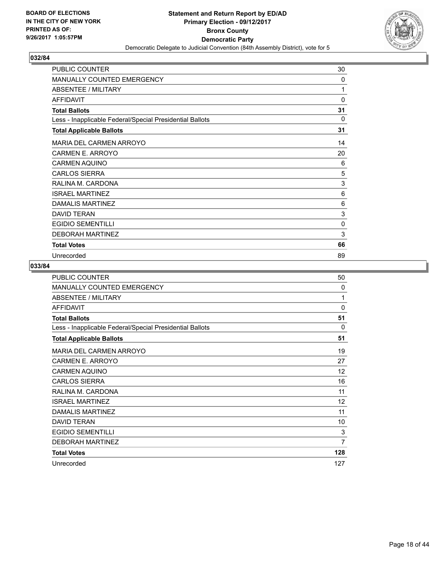

| PUBLIC COUNTER                                           | 30       |
|----------------------------------------------------------|----------|
| MANUALLY COUNTED EMERGENCY                               | 0        |
| <b>ABSENTEE / MILITARY</b>                               | 1        |
| <b>AFFIDAVIT</b>                                         | 0        |
| <b>Total Ballots</b>                                     | 31       |
| Less - Inapplicable Federal/Special Presidential Ballots | $\Omega$ |
| <b>Total Applicable Ballots</b>                          | 31       |
| MARIA DEL CARMEN ARROYO                                  | 14       |
| CARMEN E. ARROYO                                         | 20       |
| <b>CARMEN AQUINO</b>                                     | 6        |
| <b>CARLOS SIERRA</b>                                     | 5        |
| RALINA M. CARDONA                                        | 3        |
| <b>ISRAEL MARTINEZ</b>                                   | 6        |
| DAMALIS MARTINEZ                                         | 6        |
| <b>DAVID TERAN</b>                                       | 3        |
| <b>EGIDIO SEMENTILLI</b>                                 | 0        |
| <b>DEBORAH MARTINEZ</b>                                  | 3        |
| <b>Total Votes</b>                                       | 66       |
| Unrecorded                                               | 89       |

| PUBLIC COUNTER                                           | 50  |
|----------------------------------------------------------|-----|
| <b>MANUALLY COUNTED EMERGENCY</b>                        | 0   |
| <b>ABSENTEE / MILITARY</b>                               | 1   |
| <b>AFFIDAVIT</b>                                         | 0   |
| <b>Total Ballots</b>                                     | 51  |
| Less - Inapplicable Federal/Special Presidential Ballots | 0   |
| <b>Total Applicable Ballots</b>                          | 51  |
| MARIA DEL CARMEN ARROYO                                  | 19  |
| CARMEN E. ARROYO                                         | 27  |
| <b>CARMEN AQUINO</b>                                     | 12  |
| <b>CARLOS SIERRA</b>                                     | 16  |
| RALINA M. CARDONA                                        | 11  |
| <b>ISRAEL MARTINEZ</b>                                   | 12  |
| <b>DAMALIS MARTINEZ</b>                                  | 11  |
| <b>DAVID TERAN</b>                                       | 10  |
| <b>EGIDIO SEMENTILLI</b>                                 | 3   |
| <b>DEBORAH MARTINEZ</b>                                  | 7   |
| <b>Total Votes</b>                                       | 128 |
| Unrecorded                                               | 127 |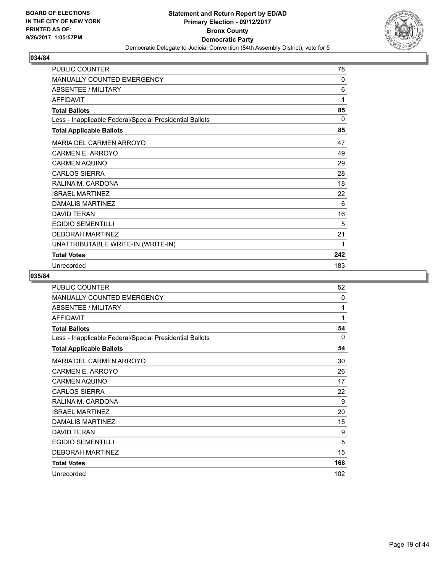

| <b>PUBLIC COUNTER</b>                                    | 78       |
|----------------------------------------------------------|----------|
| <b>MANUALLY COUNTED EMERGENCY</b>                        | 0        |
| <b>ABSENTEE / MILITARY</b>                               | 6        |
| <b>AFFIDAVIT</b>                                         | 1        |
| <b>Total Ballots</b>                                     | 85       |
| Less - Inapplicable Federal/Special Presidential Ballots | $\Omega$ |
| <b>Total Applicable Ballots</b>                          | 85       |
| <b>MARIA DEL CARMEN ARROYO</b>                           | 47       |
| CARMEN E. ARROYO                                         | 49       |
| <b>CARMEN AQUINO</b>                                     | 29       |
| <b>CARLOS SIERRA</b>                                     | 28       |
| RALINA M. CARDONA                                        | 18       |
| <b>ISRAEL MARTINEZ</b>                                   | 22       |
| DAMALIS MARTINEZ                                         | 6        |
| <b>DAVID TERAN</b>                                       | 16       |
| <b>EGIDIO SEMENTILLI</b>                                 | 5        |
| <b>DEBORAH MARTINEZ</b>                                  | 21       |
| UNATTRIBUTABLE WRITE-IN (WRITE-IN)                       | 1        |
| <b>Total Votes</b>                                       | 242      |
| Unrecorded                                               | 183      |

| <b>PUBLIC COUNTER</b>                                    | 52           |
|----------------------------------------------------------|--------------|
| MANUALLY COUNTED EMERGENCY                               | $\mathbf{0}$ |
| ABSENTEE / MILITARY                                      | 1            |
| <b>AFFIDAVIT</b>                                         | 1            |
| <b>Total Ballots</b>                                     | 54           |
| Less - Inapplicable Federal/Special Presidential Ballots | $\mathbf{0}$ |
| <b>Total Applicable Ballots</b>                          | 54           |
| MARIA DEL CARMEN ARROYO                                  | 30           |
| CARMEN E. ARROYO                                         | 26           |
| <b>CARMEN AQUINO</b>                                     | 17           |
| <b>CARLOS SIERRA</b>                                     | 22           |
| RALINA M. CARDONA                                        | 9            |
| <b>ISRAEL MARTINEZ</b>                                   | 20           |
| <b>DAMALIS MARTINEZ</b>                                  | 15           |
| <b>DAVID TERAN</b>                                       | 9            |
| <b>EGIDIO SEMENTILLI</b>                                 | 5            |
| <b>DEBORAH MARTINEZ</b>                                  | 15           |
| <b>Total Votes</b>                                       | 168          |
| Unrecorded                                               | 102          |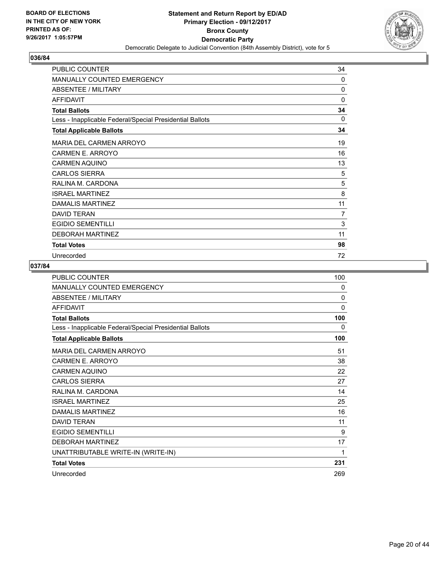

| PUBLIC COUNTER                                           | 34       |
|----------------------------------------------------------|----------|
| <b>MANUALLY COUNTED EMERGENCY</b>                        | 0        |
| <b>ABSENTEE / MILITARY</b>                               | 0        |
| <b>AFFIDAVIT</b>                                         | 0        |
| <b>Total Ballots</b>                                     | 34       |
| Less - Inapplicable Federal/Special Presidential Ballots | $\Omega$ |
| <b>Total Applicable Ballots</b>                          | 34       |
| <b>MARIA DEL CARMEN ARROYO</b>                           | 19       |
| <b>CARMEN E. ARROYO</b>                                  | 16       |
| <b>CARMEN AQUINO</b>                                     | 13       |
| <b>CARLOS SIERRA</b>                                     | 5        |
| RALINA M. CARDONA                                        | 5        |
| <b>ISRAEL MARTINEZ</b>                                   | 8        |
| DAMALIS MARTINEZ                                         | 11       |
| <b>DAVID TERAN</b>                                       | 7        |
| <b>EGIDIO SEMENTILLI</b>                                 | 3        |
| <b>DEBORAH MARTINEZ</b>                                  | 11       |
| <b>Total Votes</b>                                       | 98       |
| Unrecorded                                               | 72       |

| PUBLIC COUNTER                                           | 100      |
|----------------------------------------------------------|----------|
| <b>MANUALLY COUNTED EMERGENCY</b>                        | 0        |
| <b>ABSENTEE / MILITARY</b>                               | $\Omega$ |
| <b>AFFIDAVIT</b>                                         | $\Omega$ |
| <b>Total Ballots</b>                                     | 100      |
| Less - Inapplicable Federal/Special Presidential Ballots | 0        |
| <b>Total Applicable Ballots</b>                          | 100      |
| <b>MARIA DEL CARMEN ARROYO</b>                           | 51       |
| <b>CARMEN E. ARROYO</b>                                  | 38       |
| <b>CARMEN AQUINO</b>                                     | 22       |
| <b>CARLOS SIERRA</b>                                     | 27       |
| RALINA M. CARDONA                                        | 14       |
| <b>ISRAEL MARTINEZ</b>                                   | 25       |
| <b>DAMALIS MARTINEZ</b>                                  | 16       |
| <b>DAVID TERAN</b>                                       | 11       |
| <b>EGIDIO SEMENTILLI</b>                                 | 9        |
| <b>DEBORAH MARTINEZ</b>                                  | 17       |
| UNATTRIBUTABLE WRITE-IN (WRITE-IN)                       | 1        |
| <b>Total Votes</b>                                       | 231      |
| Unrecorded                                               | 269      |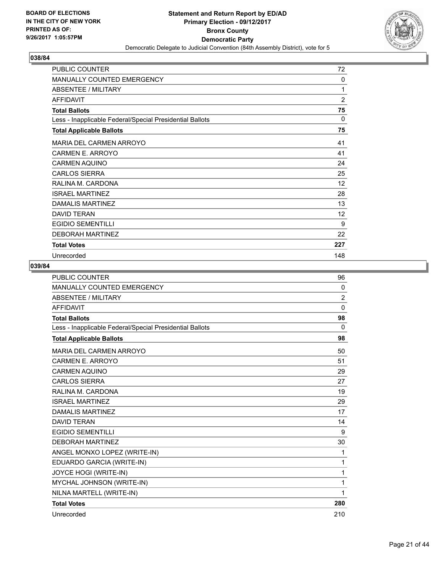

| <b>PUBLIC COUNTER</b>                                    | 72             |
|----------------------------------------------------------|----------------|
| <b>MANUALLY COUNTED EMERGENCY</b>                        | 0              |
| ABSENTEE / MILITARY                                      | 1              |
| <b>AFFIDAVIT</b>                                         | $\overline{2}$ |
| <b>Total Ballots</b>                                     | 75             |
| Less - Inapplicable Federal/Special Presidential Ballots | $\Omega$       |
| <b>Total Applicable Ballots</b>                          | 75             |
| MARIA DEL CARMEN ARROYO                                  | 41             |
| CARMEN E. ARROYO                                         | 41             |
| <b>CARMEN AQUINO</b>                                     | 24             |
| <b>CARLOS SIERRA</b>                                     | 25             |
| RALINA M. CARDONA                                        | 12             |
| <b>ISRAEL MARTINEZ</b>                                   | 28             |
| <b>DAMALIS MARTINEZ</b>                                  | 13             |
| <b>DAVID TERAN</b>                                       | 12             |
| <b>EGIDIO SEMENTILLI</b>                                 | 9              |
| <b>DEBORAH MARTINEZ</b>                                  | 22             |
| <b>Total Votes</b>                                       | 227            |
| Unrecorded                                               | 148            |

| <b>PUBLIC COUNTER</b>                                    | 96             |
|----------------------------------------------------------|----------------|
| MANUALLY COUNTED EMERGENCY                               | 0              |
| <b>ABSENTEE / MILITARY</b>                               | $\overline{2}$ |
| <b>AFFIDAVIT</b>                                         | $\mathbf{0}$   |
| <b>Total Ballots</b>                                     | 98             |
| Less - Inapplicable Federal/Special Presidential Ballots | $\Omega$       |
| <b>Total Applicable Ballots</b>                          | 98             |
| MARIA DEL CARMEN ARROYO                                  | 50             |
| CARMEN E. ARROYO                                         | 51             |
| <b>CARMEN AQUINO</b>                                     | 29             |
| <b>CARLOS SIERRA</b>                                     | 27             |
| RALINA M. CARDONA                                        | 19             |
| <b>ISRAEL MARTINEZ</b>                                   | 29             |
| <b>DAMALIS MARTINEZ</b>                                  | 17             |
| <b>DAVID TFRAN</b>                                       | 14             |
| <b>EGIDIO SEMENTILLI</b>                                 | 9              |
| <b>DEBORAH MARTINEZ</b>                                  | 30             |
| ANGEL MONXO LOPEZ (WRITE-IN)                             | 1              |
| EDUARDO GARCIA (WRITE-IN)                                | 1              |
| <b>JOYCE HOGI (WRITE-IN)</b>                             | 1              |
| MYCHAL JOHNSON (WRITE-IN)                                | 1              |
| NILNA MARTELL (WRITE-IN)                                 | 1              |
| <b>Total Votes</b>                                       | 280            |
| Unrecorded                                               | 210            |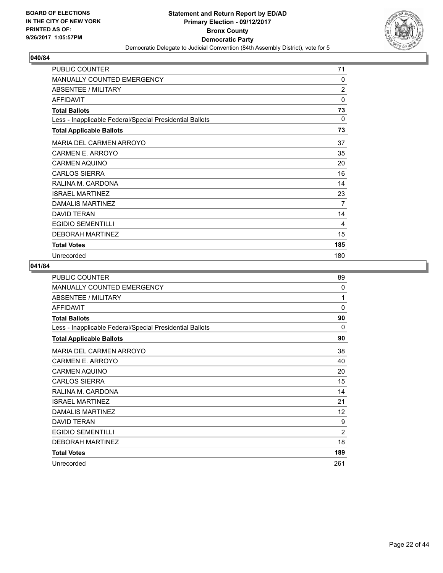

| PUBLIC COUNTER                                           | 71             |
|----------------------------------------------------------|----------------|
| MANUALLY COUNTED EMERGENCY                               | 0              |
| <b>ABSENTEE / MILITARY</b>                               | $\overline{2}$ |
| <b>AFFIDAVIT</b>                                         | 0              |
| <b>Total Ballots</b>                                     | 73             |
| Less - Inapplicable Federal/Special Presidential Ballots | $\Omega$       |
| <b>Total Applicable Ballots</b>                          | 73             |
| MARIA DEL CARMEN ARROYO                                  | 37             |
| CARMEN E. ARROYO                                         | 35             |
| <b>CARMEN AQUINO</b>                                     | 20             |
| <b>CARLOS SIERRA</b>                                     | 16             |
| RALINA M. CARDONA                                        | 14             |
| <b>ISRAEL MARTINEZ</b>                                   | 23             |
| DAMALIS MARTINEZ                                         | 7              |
| <b>DAVID TERAN</b>                                       | 14             |
| <b>EGIDIO SEMENTILLI</b>                                 | 4              |
| <b>DEBORAH MARTINEZ</b>                                  | 15             |
| <b>Total Votes</b>                                       | 185            |
| Unrecorded                                               | 180            |

| PUBLIC COUNTER                                           | 89             |
|----------------------------------------------------------|----------------|
| <b>MANUALLY COUNTED EMERGENCY</b>                        | 0              |
| ABSENTEE / MILITARY                                      | 1              |
| <b>AFFIDAVIT</b>                                         | 0              |
| <b>Total Ballots</b>                                     | 90             |
| Less - Inapplicable Federal/Special Presidential Ballots | 0              |
| <b>Total Applicable Ballots</b>                          | 90             |
| MARIA DEL CARMEN ARROYO                                  | 38             |
| CARMEN E. ARROYO                                         | 40             |
| <b>CARMEN AQUINO</b>                                     | 20             |
| <b>CARLOS SIERRA</b>                                     | 15             |
| RALINA M. CARDONA                                        | 14             |
| <b>ISRAEL MARTINEZ</b>                                   | 21             |
| <b>DAMALIS MARTINEZ</b>                                  | 12             |
| <b>DAVID TERAN</b>                                       | 9              |
| <b>EGIDIO SEMENTILLI</b>                                 | $\overline{2}$ |
| <b>DEBORAH MARTINEZ</b>                                  | 18             |
| <b>Total Votes</b>                                       | 189            |
| Unrecorded                                               | 261            |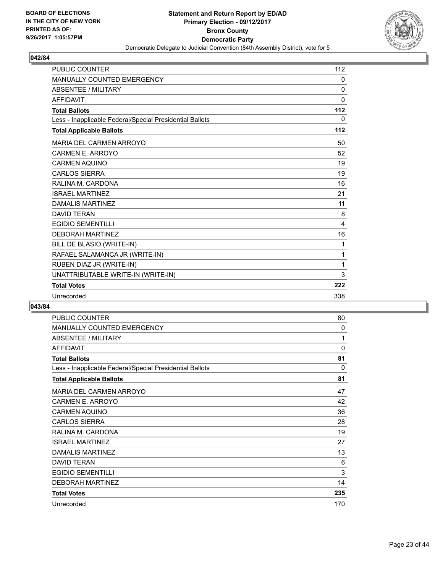

| <b>PUBLIC COUNTER</b>                                    | 112          |
|----------------------------------------------------------|--------------|
| <b>MANUALLY COUNTED EMERGENCY</b>                        | 0            |
| <b>ABSENTEE / MILITARY</b>                               | 0            |
| <b>AFFIDAVIT</b>                                         | $\mathbf{0}$ |
| <b>Total Ballots</b>                                     | 112          |
| Less - Inapplicable Federal/Special Presidential Ballots | 0            |
| <b>Total Applicable Ballots</b>                          | 112          |
| MARIA DEL CARMEN ARROYO                                  | 50           |
| CARMEN E. ARROYO                                         | 52           |
| <b>CARMEN AQUINO</b>                                     | 19           |
| <b>CARLOS SIERRA</b>                                     | 19           |
| RALINA M. CARDONA                                        | 16           |
| <b>ISRAEL MARTINEZ</b>                                   | 21           |
| <b>DAMALIS MARTINEZ</b>                                  | 11           |
| <b>DAVID TERAN</b>                                       | 8            |
| <b>EGIDIO SEMENTILLI</b>                                 | 4            |
| <b>DEBORAH MARTINEZ</b>                                  | 16           |
| BILL DE BLASIO (WRITE-IN)                                | 1            |
| RAFAEL SALAMANCA JR (WRITE-IN)                           | 1            |
| RUBEN DIAZ JR (WRITE-IN)                                 | 1            |
| UNATTRIBUTABLE WRITE-IN (WRITE-IN)                       | 3            |
| <b>Total Votes</b>                                       | 222          |
| Unrecorded                                               | 338          |

| <b>PUBLIC COUNTER</b>                                    | 80           |
|----------------------------------------------------------|--------------|
| MANUALLY COUNTED EMERGENCY                               | $\mathbf{0}$ |
| <b>ABSENTEE / MILITARY</b>                               | 1            |
| <b>AFFIDAVIT</b>                                         | 0            |
| <b>Total Ballots</b>                                     | 81           |
| Less - Inapplicable Federal/Special Presidential Ballots | $\mathbf{0}$ |
| <b>Total Applicable Ballots</b>                          | 81           |
| <b>MARIA DEL CARMEN ARROYO</b>                           | 47           |
| <b>CARMEN E. ARROYO</b>                                  | 42           |
| <b>CARMEN AQUINO</b>                                     | 36           |
| <b>CARLOS SIERRA</b>                                     | 28           |
| RALINA M. CARDONA                                        | 19           |
| <b>ISRAEL MARTINEZ</b>                                   | 27           |
| <b>DAMALIS MARTINEZ</b>                                  | 13           |
| <b>DAVID TERAN</b>                                       | 6            |
| <b>EGIDIO SEMENTILLI</b>                                 | 3            |
| <b>DEBORAH MARTINEZ</b>                                  | 14           |
| <b>Total Votes</b>                                       | 235          |
| Unrecorded                                               | 170          |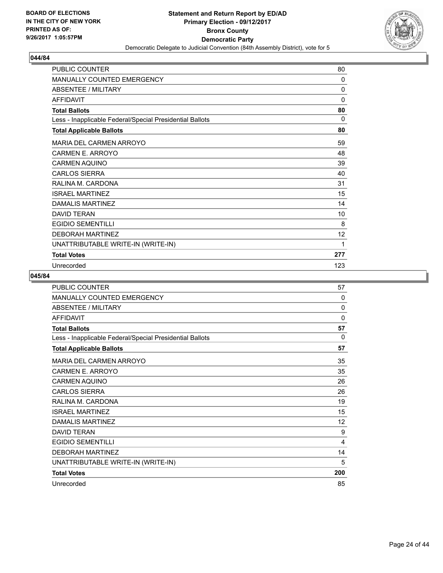

| <b>PUBLIC COUNTER</b>                                    | 80           |
|----------------------------------------------------------|--------------|
| <b>MANUALLY COUNTED EMERGENCY</b>                        | 0            |
| <b>ABSENTEE / MILITARY</b>                               | $\mathbf{0}$ |
| <b>AFFIDAVIT</b>                                         | 0            |
| <b>Total Ballots</b>                                     | 80           |
| Less - Inapplicable Federal/Special Presidential Ballots | 0            |
| <b>Total Applicable Ballots</b>                          | 80           |
| <b>MARIA DEL CARMEN ARROYO</b>                           | 59           |
| <b>CARMEN E. ARROYO</b>                                  | 48           |
| <b>CARMEN AQUINO</b>                                     | 39           |
| <b>CARLOS SIERRA</b>                                     | 40           |
| RALINA M. CARDONA                                        | 31           |
| <b>ISRAEL MARTINEZ</b>                                   | 15           |
| DAMALIS MARTINEZ                                         | 14           |
| <b>DAVID TERAN</b>                                       | 10           |
| <b>EGIDIO SEMENTILLI</b>                                 | 8            |
| <b>DEBORAH MARTINEZ</b>                                  | 12           |
| UNATTRIBUTABLE WRITE-IN (WRITE-IN)                       | 1            |
| <b>Total Votes</b>                                       | 277          |
| Unrecorded                                               | 123          |

| <b>PUBLIC COUNTER</b>                                    | 57       |
|----------------------------------------------------------|----------|
| MANUALLY COUNTED EMERGENCY                               | 0        |
| <b>ABSENTEE / MILITARY</b>                               | $\Omega$ |
| <b>AFFIDAVIT</b>                                         | 0        |
| <b>Total Ballots</b>                                     | 57       |
| Less - Inapplicable Federal/Special Presidential Ballots | $\Omega$ |
| <b>Total Applicable Ballots</b>                          | 57       |
| <b>MARIA DEL CARMEN ARROYO</b>                           | 35       |
| CARMEN E. ARROYO                                         | 35       |
| <b>CARMEN AQUINO</b>                                     | 26       |
| <b>CARLOS SIERRA</b>                                     | 26       |
| RALINA M. CARDONA                                        | 19       |
| <b>ISRAEL MARTINEZ</b>                                   | 15       |
| DAMALIS MARTINEZ                                         | 12       |
| DAVID TFRAN                                              | 9        |
| <b>EGIDIO SEMENTILLI</b>                                 | 4        |
| <b>DEBORAH MARTINEZ</b>                                  | 14       |
| UNATTRIBUTABLE WRITE-IN (WRITE-IN)                       | 5        |
| <b>Total Votes</b>                                       | 200      |
| Unrecorded                                               | 85       |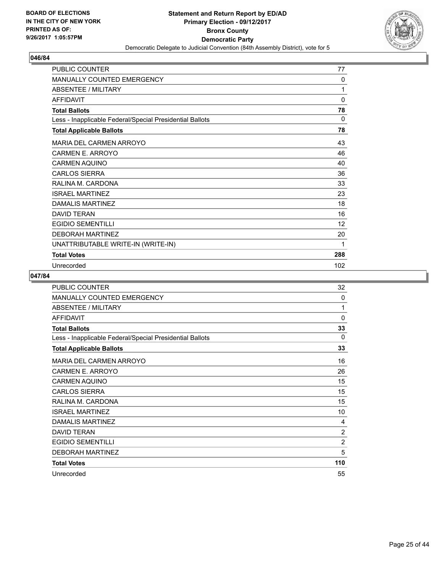

| <b>PUBLIC COUNTER</b>                                    | 77  |
|----------------------------------------------------------|-----|
| <b>MANUALLY COUNTED EMERGENCY</b>                        | 0   |
| ABSENTEE / MILITARY                                      | 1   |
| <b>AFFIDAVIT</b>                                         | 0   |
| <b>Total Ballots</b>                                     | 78  |
| Less - Inapplicable Federal/Special Presidential Ballots | 0   |
| <b>Total Applicable Ballots</b>                          | 78  |
| <b>MARIA DEL CARMEN ARROYO</b>                           | 43  |
| <b>CARMEN E. ARROYO</b>                                  | 46  |
| <b>CARMEN AQUINO</b>                                     | 40  |
| <b>CARLOS SIERRA</b>                                     | 36  |
| RALINA M. CARDONA                                        | 33  |
| <b>ISRAEL MARTINEZ</b>                                   | 23  |
| DAMALIS MARTINEZ                                         | 18  |
| <b>DAVID TERAN</b>                                       | 16  |
| <b>EGIDIO SEMENTILLI</b>                                 | 12  |
| <b>DEBORAH MARTINEZ</b>                                  | 20  |
| UNATTRIBUTABLE WRITE-IN (WRITE-IN)                       | 1   |
| <b>Total Votes</b>                                       | 288 |
| Unrecorded                                               | 102 |

| <b>PUBLIC COUNTER</b>                                    | 32             |
|----------------------------------------------------------|----------------|
| <b>MANUALLY COUNTED EMERGENCY</b>                        | 0              |
| ABSENTEE / MILITARY                                      | 1              |
| <b>AFFIDAVIT</b>                                         | $\mathbf{0}$   |
| <b>Total Ballots</b>                                     | 33             |
| Less - Inapplicable Federal/Special Presidential Ballots | 0              |
| <b>Total Applicable Ballots</b>                          | 33             |
| <b>MARIA DEL CARMEN ARROYO</b>                           | 16             |
| CARMEN E. ARROYO                                         | 26             |
| <b>CARMEN AQUINO</b>                                     | 15             |
| <b>CARLOS SIERRA</b>                                     | 15             |
| RALINA M. CARDONA                                        | 15             |
| <b>ISRAEL MARTINEZ</b>                                   | 10             |
| DAMALIS MARTINEZ                                         | 4              |
| <b>DAVID TERAN</b>                                       | $\overline{2}$ |
| <b>EGIDIO SEMENTILLI</b>                                 | $\overline{2}$ |
| <b>DEBORAH MARTINEZ</b>                                  | 5              |
| <b>Total Votes</b>                                       | 110            |
| Unrecorded                                               | 55             |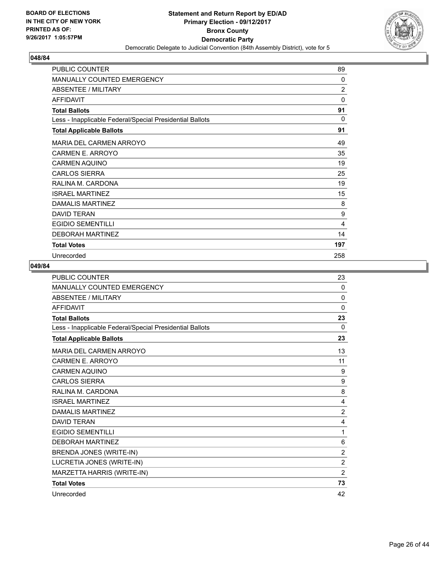

| PUBLIC COUNTER                                           | 89             |
|----------------------------------------------------------|----------------|
| MANUALLY COUNTED EMERGENCY                               | 0              |
| <b>ABSENTEE / MILITARY</b>                               | $\overline{2}$ |
| <b>AFFIDAVIT</b>                                         | 0              |
| <b>Total Ballots</b>                                     | 91             |
| Less - Inapplicable Federal/Special Presidential Ballots | $\Omega$       |
| <b>Total Applicable Ballots</b>                          | 91             |
| <b>MARIA DEL CARMEN ARROYO</b>                           | 49             |
| <b>CARMEN E. ARROYO</b>                                  | 35             |
| <b>CARMEN AQUINO</b>                                     | 19             |
| <b>CARLOS SIERRA</b>                                     | 25             |
| RALINA M. CARDONA                                        | 19             |
| <b>ISRAEL MARTINEZ</b>                                   | 15             |
| DAMALIS MARTINEZ                                         | 8              |
| <b>DAVID TERAN</b>                                       | 9              |
| <b>EGIDIO SEMENTILLI</b>                                 | 4              |
| <b>DEBORAH MARTINEZ</b>                                  | 14             |
| <b>Total Votes</b>                                       | 197            |
| Unrecorded                                               | 258            |

| <b>PUBLIC COUNTER</b>                                    | 23             |
|----------------------------------------------------------|----------------|
| MANUALLY COUNTED EMERGENCY                               | $\mathbf{0}$   |
| <b>ABSENTEE / MILITARY</b>                               | $\mathbf{0}$   |
| <b>AFFIDAVIT</b>                                         | $\Omega$       |
| <b>Total Ballots</b>                                     | 23             |
| Less - Inapplicable Federal/Special Presidential Ballots | $\Omega$       |
| <b>Total Applicable Ballots</b>                          | 23             |
| MARIA DEL CARMEN ARROYO                                  | 13             |
| CARMEN E. ARROYO                                         | 11             |
| <b>CARMEN AQUINO</b>                                     | 9              |
| <b>CARLOS SIERRA</b>                                     | 9              |
| RALINA M. CARDONA                                        | 8              |
| <b>ISRAEL MARTINEZ</b>                                   | 4              |
| <b>DAMALIS MARTINEZ</b>                                  | $\overline{2}$ |
| <b>DAVID TFRAN</b>                                       | 4              |
| <b>EGIDIO SEMENTILLI</b>                                 | 1              |
| <b>DEBORAH MARTINEZ</b>                                  | 6              |
| BRENDA JONES (WRITE-IN)                                  | $\overline{2}$ |
| LUCRETIA JONES (WRITE-IN)                                | $\overline{2}$ |
| MARZETTA HARRIS (WRITE-IN)                               | $\overline{2}$ |
| <b>Total Votes</b>                                       | 73             |
| Unrecorded                                               | 42             |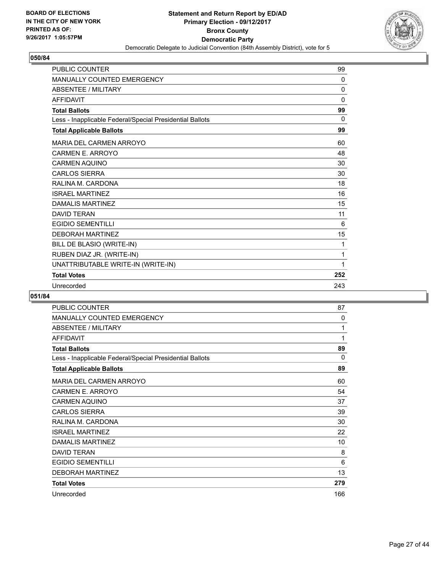

| <b>PUBLIC COUNTER</b>                                    | 99           |
|----------------------------------------------------------|--------------|
| MANUALLY COUNTED EMERGENCY                               | $\mathbf{0}$ |
| <b>ABSENTEE / MILITARY</b>                               | 0            |
| <b>AFFIDAVIT</b>                                         | 0            |
| <b>Total Ballots</b>                                     | 99           |
| Less - Inapplicable Federal/Special Presidential Ballots | $\Omega$     |
| <b>Total Applicable Ballots</b>                          | 99           |
| <b>MARIA DEL CARMEN ARROYO</b>                           | 60           |
| CARMEN E. ARROYO                                         | 48           |
| <b>CARMEN AQUINO</b>                                     | 30           |
| <b>CARLOS SIERRA</b>                                     | 30           |
| RALINA M. CARDONA                                        | 18           |
| <b>ISRAEL MARTINEZ</b>                                   | 16           |
| <b>DAMALIS MARTINEZ</b>                                  | 15           |
| <b>DAVID TERAN</b>                                       | 11           |
| <b>EGIDIO SEMENTILLI</b>                                 | 6            |
| <b>DEBORAH MARTINEZ</b>                                  | 15           |
| BILL DE BLASIO (WRITE-IN)                                | 1            |
| RUBEN DIAZ JR. (WRITE-IN)                                | 1            |
| UNATTRIBUTABLE WRITE-IN (WRITE-IN)                       | 1            |
| <b>Total Votes</b>                                       | 252          |
| Unrecorded                                               | 243          |

| <b>PUBLIC COUNTER</b>                                    | 87  |
|----------------------------------------------------------|-----|
| <b>MANUALLY COUNTED EMERGENCY</b>                        | 0   |
| <b>ABSENTEE / MILITARY</b>                               | 1   |
| <b>AFFIDAVIT</b>                                         | 1   |
| <b>Total Ballots</b>                                     | 89  |
| Less - Inapplicable Federal/Special Presidential Ballots | 0   |
| <b>Total Applicable Ballots</b>                          | 89  |
| MARIA DEL CARMEN ARROYO                                  | 60  |
| CARMEN E. ARROYO                                         | 54  |
| <b>CARMEN AQUINO</b>                                     | 37  |
| <b>CARLOS SIERRA</b>                                     | 39  |
| RALINA M. CARDONA                                        | 30  |
| <b>ISRAEL MARTINEZ</b>                                   | 22  |
| <b>DAMALIS MARTINEZ</b>                                  | 10  |
| <b>DAVID TERAN</b>                                       | 8   |
| <b>EGIDIO SEMENTILLI</b>                                 | 6   |
| <b>DEBORAH MARTINEZ</b>                                  | 13  |
| <b>Total Votes</b>                                       | 279 |
| Unrecorded                                               | 166 |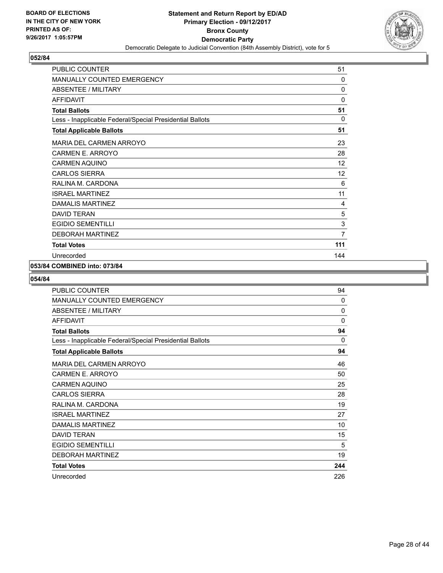

| <b>PUBLIC COUNTER</b>                                    | 51           |
|----------------------------------------------------------|--------------|
| <b>MANUALLY COUNTED EMERGENCY</b>                        | 0            |
| ABSENTEE / MILITARY                                      | 0            |
| <b>AFFIDAVIT</b>                                         | $\mathbf{0}$ |
| <b>Total Ballots</b>                                     | 51           |
| Less - Inapplicable Federal/Special Presidential Ballots | $\Omega$     |
| <b>Total Applicable Ballots</b>                          | 51           |
| <b>MARIA DEL CARMEN ARROYO</b>                           | 23           |
| CARMEN E. ARROYO                                         | 28           |
| <b>CARMEN AQUINO</b>                                     | 12           |
| <b>CARLOS SIERRA</b>                                     | 12           |
| RALINA M. CARDONA                                        | 6            |
| <b>ISRAEL MARTINEZ</b>                                   | 11           |
| <b>DAMALIS MARTINEZ</b>                                  | 4            |
| <b>DAVID TERAN</b>                                       | 5            |
| <b>EGIDIO SEMENTILLI</b>                                 | 3            |
| <b>DEBORAH MARTINEZ</b>                                  | 7            |
| <b>Total Votes</b>                                       | 111          |
| Unrecorded                                               | 144          |

#### **053/84 COMBINED into: 073/84**

| <b>PUBLIC COUNTER</b>                                    | 94       |
|----------------------------------------------------------|----------|
| <b>MANUALLY COUNTED EMERGENCY</b>                        | $\Omega$ |
| ABSENTEE / MILITARY                                      | 0        |
| <b>AFFIDAVIT</b>                                         | 0        |
| <b>Total Ballots</b>                                     | 94       |
| Less - Inapplicable Federal/Special Presidential Ballots | 0        |
| <b>Total Applicable Ballots</b>                          | 94       |
| <b>MARIA DEL CARMEN ARROYO</b>                           | 46       |
| CARMEN E. ARROYO                                         | 50       |
| <b>CARMEN AQUINO</b>                                     | 25       |
| <b>CARLOS SIERRA</b>                                     | 28       |
| RALINA M. CARDONA                                        | 19       |
| <b>ISRAEL MARTINEZ</b>                                   | 27       |
| DAMALIS MARTINEZ                                         | 10       |
| <b>DAVID TERAN</b>                                       | 15       |
| <b>EGIDIO SEMENTILLI</b>                                 | 5        |
| <b>DEBORAH MARTINEZ</b>                                  | 19       |
| <b>Total Votes</b>                                       | 244      |
| Unrecorded                                               | 226      |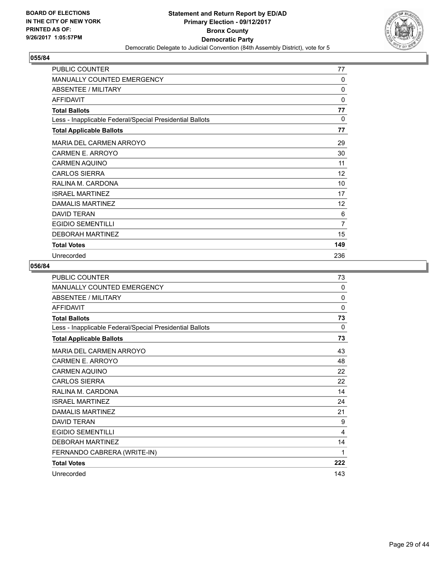

| PUBLIC COUNTER                                           | 77           |
|----------------------------------------------------------|--------------|
| MANUALLY COUNTED EMERGENCY                               | 0            |
| <b>ABSENTEE / MILITARY</b>                               | 0            |
| <b>AFFIDAVIT</b>                                         | 0            |
| <b>Total Ballots</b>                                     | 77           |
| Less - Inapplicable Federal/Special Presidential Ballots | $\mathbf{0}$ |
| <b>Total Applicable Ballots</b>                          | 77           |
| <b>MARIA DEL CARMEN ARROYO</b>                           | 29           |
| <b>CARMEN E. ARROYO</b>                                  | 30           |
| <b>CARMEN AQUINO</b>                                     | 11           |
| <b>CARLOS SIERRA</b>                                     | 12           |
| RALINA M. CARDONA                                        | 10           |
| <b>ISRAEL MARTINEZ</b>                                   | 17           |
| DAMALIS MARTINEZ                                         | 12           |
| <b>DAVID TERAN</b>                                       | 6            |
| <b>EGIDIO SEMENTILLI</b>                                 | 7            |
| <b>DEBORAH MARTINEZ</b>                                  | 15           |
| <b>Total Votes</b>                                       | 149          |
| Unrecorded                                               | 236          |

| PUBLIC COUNTER                                           | 73       |
|----------------------------------------------------------|----------|
| <b>MANUALLY COUNTED EMERGENCY</b>                        | $\Omega$ |
| <b>ABSENTEE / MILITARY</b>                               | $\Omega$ |
| <b>AFFIDAVIT</b>                                         | $\Omega$ |
| <b>Total Ballots</b>                                     | 73       |
| Less - Inapplicable Federal/Special Presidential Ballots | $\Omega$ |
| <b>Total Applicable Ballots</b>                          | 73       |
| MARIA DEL CARMEN ARROYO                                  | 43       |
| CARMEN E. ARROYO                                         | 48       |
| <b>CARMEN AQUINO</b>                                     | 22       |
| <b>CARLOS SIERRA</b>                                     | 22       |
| RALINA M. CARDONA                                        | 14       |
| <b>ISRAEL MARTINEZ</b>                                   | 24       |
| <b>DAMALIS MARTINEZ</b>                                  | 21       |
| <b>DAVID TERAN</b>                                       | 9        |
| <b>EGIDIO SEMENTILLI</b>                                 | 4        |
| <b>DEBORAH MARTINEZ</b>                                  | 14       |
| FERNANDO CABRERA (WRITE-IN)                              | 1        |
| <b>Total Votes</b>                                       | 222      |
| Unrecorded                                               | 143      |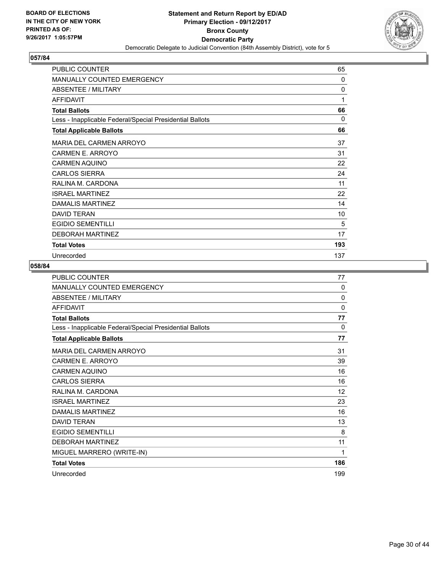

| PUBLIC COUNTER                                           | 65       |
|----------------------------------------------------------|----------|
| <b>MANUALLY COUNTED EMERGENCY</b>                        | 0        |
| ABSENTEE / MILITARY                                      | 0        |
| <b>AFFIDAVIT</b>                                         | 1        |
| <b>Total Ballots</b>                                     | 66       |
| Less - Inapplicable Federal/Special Presidential Ballots | $\Omega$ |
| <b>Total Applicable Ballots</b>                          | 66       |
| MARIA DEL CARMEN ARROYO                                  | 37       |
| <b>CARMEN E. ARROYO</b>                                  | 31       |
| <b>CARMEN AQUINO</b>                                     | 22       |
| <b>CARLOS SIERRA</b>                                     | 24       |
| RALINA M. CARDONA                                        | 11       |
| <b>ISRAEL MARTINEZ</b>                                   | 22       |
| DAMALIS MARTINEZ                                         | 14       |
| <b>DAVID TERAN</b>                                       | 10       |
| <b>EGIDIO SEMENTILLI</b>                                 | 5        |
| <b>DEBORAH MARTINEZ</b>                                  | 17       |
| <b>Total Votes</b>                                       | 193      |
| Unrecorded                                               | 137      |

| <b>PUBLIC COUNTER</b>                                    | 77           |
|----------------------------------------------------------|--------------|
| MANUALLY COUNTED EMERGENCY                               | 0            |
| ABSENTEE / MILITARY                                      | $\mathbf{0}$ |
| <b>AFFIDAVIT</b>                                         | 0            |
| <b>Total Ballots</b>                                     | 77           |
| Less - Inapplicable Federal/Special Presidential Ballots | 0            |
| <b>Total Applicable Ballots</b>                          | 77           |
| MARIA DEL CARMEN ARROYO                                  | 31           |
| CARMEN E. ARROYO                                         | 39           |
| <b>CARMEN AQUINO</b>                                     | 16           |
| <b>CARLOS SIERRA</b>                                     | 16           |
| RALINA M. CARDONA                                        | 12           |
| <b>ISRAEL MARTINEZ</b>                                   | 23           |
| <b>DAMALIS MARTINEZ</b>                                  | 16           |
| <b>DAVID TERAN</b>                                       | 13           |
| EGIDIO SEMENTILLI                                        | 8            |
| <b>DEBORAH MARTINEZ</b>                                  | 11           |
| MIGUEL MARRERO (WRITE-IN)                                | 1            |
| <b>Total Votes</b>                                       | 186          |
| Unrecorded                                               | 199          |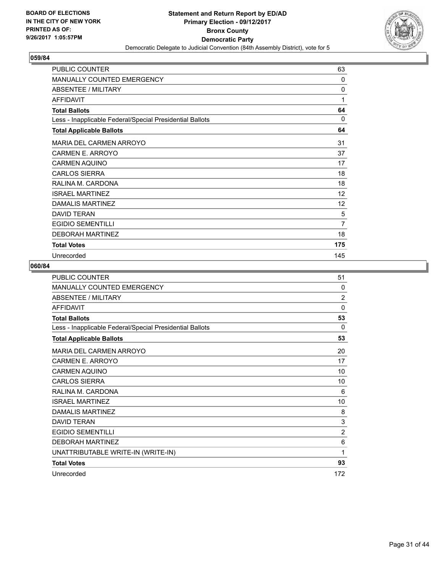

| PUBLIC COUNTER                                           | 63       |
|----------------------------------------------------------|----------|
| <b>MANUALLY COUNTED EMERGENCY</b>                        | 0        |
| <b>ABSENTEE / MILITARY</b>                               | 0        |
| <b>AFFIDAVIT</b>                                         | 1        |
| <b>Total Ballots</b>                                     | 64       |
| Less - Inapplicable Federal/Special Presidential Ballots | $\Omega$ |
| <b>Total Applicable Ballots</b>                          | 64       |
| <b>MARIA DEL CARMEN ARROYO</b>                           | 31       |
| <b>CARMEN E. ARROYO</b>                                  | 37       |
| <b>CARMEN AQUINO</b>                                     | 17       |
| <b>CARLOS SIERRA</b>                                     | 18       |
| RALINA M. CARDONA                                        | 18       |
| <b>ISRAEL MARTINEZ</b>                                   | 12       |
| DAMALIS MARTINEZ                                         | 12       |
| <b>DAVID TERAN</b>                                       | 5        |
| <b>EGIDIO SEMENTILLI</b>                                 | 7        |
| <b>DEBORAH MARTINEZ</b>                                  | 18       |
| <b>Total Votes</b>                                       | 175      |
| Unrecorded                                               | 145      |

| <b>PUBLIC COUNTER</b>                                    | 51             |
|----------------------------------------------------------|----------------|
| MANUALLY COUNTED EMERGENCY                               | 0              |
| ABSENTEE / MILITARY                                      | $\overline{2}$ |
| <b>AFFIDAVIT</b>                                         | $\Omega$       |
| <b>Total Ballots</b>                                     | 53             |
| Less - Inapplicable Federal/Special Presidential Ballots | 0              |
| <b>Total Applicable Ballots</b>                          | 53             |
| <b>MARIA DEL CARMEN ARROYO</b>                           | 20             |
| CARMEN E. ARROYO                                         | 17             |
| <b>CARMEN AQUINO</b>                                     | 10             |
| <b>CARLOS SIERRA</b>                                     | 10             |
| RALINA M. CARDONA                                        | 6              |
| <b>ISRAEL MARTINEZ</b>                                   | 10             |
| <b>DAMALIS MARTINEZ</b>                                  | 8              |
| <b>DAVID TERAN</b>                                       | 3              |
| <b>EGIDIO SEMENTILLI</b>                                 | $\overline{2}$ |
| <b>DEBORAH MARTINEZ</b>                                  | 6              |
| UNATTRIBUTABLE WRITE-IN (WRITE-IN)                       | 1              |
| <b>Total Votes</b>                                       | 93             |
| Unrecorded                                               | 172            |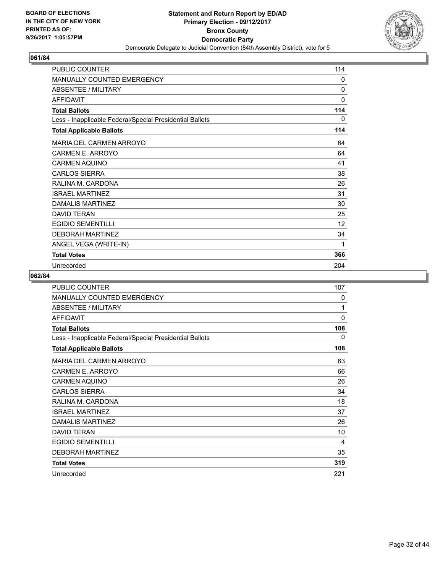

| <b>PUBLIC COUNTER</b>                                    | 114          |
|----------------------------------------------------------|--------------|
| <b>MANUALLY COUNTED EMERGENCY</b>                        | $\Omega$     |
| <b>ABSENTEE / MILITARY</b>                               | $\Omega$     |
| <b>AFFIDAVIT</b>                                         | $\mathbf{0}$ |
| <b>Total Ballots</b>                                     | 114          |
| Less - Inapplicable Federal/Special Presidential Ballots | $\Omega$     |
| <b>Total Applicable Ballots</b>                          | 114          |
| <b>MARIA DEL CARMEN ARROYO</b>                           | 64           |
| <b>CARMEN E. ARROYO</b>                                  | 64           |
| <b>CARMEN AQUINO</b>                                     | 41           |
| <b>CARLOS SIERRA</b>                                     | 38           |
| RALINA M. CARDONA                                        | 26           |
| <b>ISRAEL MARTINEZ</b>                                   | 31           |
| DAMALIS MARTINEZ                                         | 30           |
| <b>DAVID TERAN</b>                                       | 25           |
| <b>EGIDIO SEMENTILLI</b>                                 | 12           |
| <b>DEBORAH MARTINEZ</b>                                  | 34           |
| ANGEL VEGA (WRITE-IN)                                    | 1            |
| <b>Total Votes</b>                                       | 366          |
| Unrecorded                                               | 204          |

| PUBLIC COUNTER                                           | 107          |
|----------------------------------------------------------|--------------|
| MANUALLY COUNTED EMERGENCY                               | 0            |
| <b>ABSENTEE / MILITARY</b>                               | 1            |
| <b>AFFIDAVIT</b>                                         | $\mathbf{0}$ |
| <b>Total Ballots</b>                                     | 108          |
| Less - Inapplicable Federal/Special Presidential Ballots | 0            |
| <b>Total Applicable Ballots</b>                          | 108          |
| MARIA DEL CARMEN ARROYO                                  | 63           |
| CARMEN E. ARROYO                                         | 66           |
| CARMEN AQUINO                                            | 26           |
| <b>CARLOS SIERRA</b>                                     | 34           |
| RALINA M. CARDONA                                        | 18           |
| <b>ISRAEL MARTINEZ</b>                                   | 37           |
| DAMALIS MARTINEZ                                         | 26           |
| <b>DAVID TERAN</b>                                       | 10           |
| <b>EGIDIO SEMENTILLI</b>                                 | 4            |
| <b>DEBORAH MARTINEZ</b>                                  | 35           |
| <b>Total Votes</b>                                       | 319          |
| Unrecorded                                               | 221          |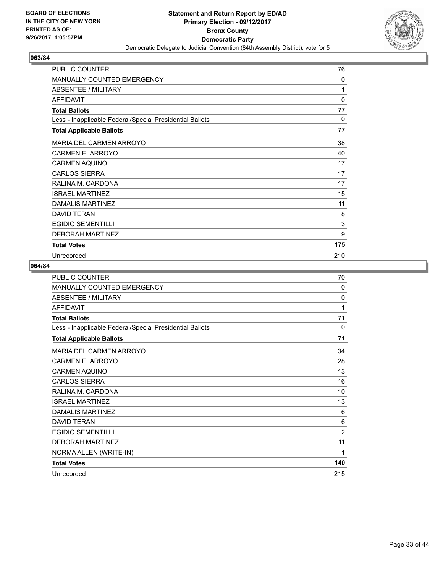

| PUBLIC COUNTER                                           | 76       |
|----------------------------------------------------------|----------|
| <b>MANUALLY COUNTED EMERGENCY</b>                        | 0        |
| ABSENTEE / MILITARY                                      | 1        |
| <b>AFFIDAVIT</b>                                         | 0        |
| <b>Total Ballots</b>                                     | 77       |
| Less - Inapplicable Federal/Special Presidential Ballots | $\Omega$ |
| <b>Total Applicable Ballots</b>                          | 77       |
| MARIA DEL CARMEN ARROYO                                  | 38       |
| CARMEN E. ARROYO                                         | 40       |
| <b>CARMEN AQUINO</b>                                     | 17       |
| <b>CARLOS SIERRA</b>                                     | 17       |
| RALINA M. CARDONA                                        | 17       |
| <b>ISRAEL MARTINEZ</b>                                   | 15       |
| DAMALIS MARTINEZ                                         | 11       |
| <b>DAVID TERAN</b>                                       | 8        |
| <b>EGIDIO SEMENTILLI</b>                                 | 3        |
| <b>DEBORAH MARTINEZ</b>                                  | 9        |
| <b>Total Votes</b>                                       | 175      |
| Unrecorded                                               | 210      |

| <b>PUBLIC COUNTER</b>                                    | 70             |
|----------------------------------------------------------|----------------|
| MANUALLY COUNTED EMERGENCY                               | $\Omega$       |
| ABSENTEE / MILITARY                                      | $\mathbf{0}$   |
| <b>AFFIDAVIT</b>                                         | 1              |
| <b>Total Ballots</b>                                     | 71             |
| Less - Inapplicable Federal/Special Presidential Ballots | 0              |
| <b>Total Applicable Ballots</b>                          | 71             |
| MARIA DEL CARMEN ARROYO                                  | 34             |
| CARMEN E. ARROYO                                         | 28             |
| <b>CARMEN AQUINO</b>                                     | 13             |
| <b>CARLOS SIERRA</b>                                     | 16             |
| RALINA M. CARDONA                                        | 10             |
| <b>ISRAEL MARTINEZ</b>                                   | 13             |
| <b>DAMALIS MARTINEZ</b>                                  | 6              |
| <b>DAVID TERAN</b>                                       | 6              |
| <b>EGIDIO SEMENTILLI</b>                                 | $\overline{2}$ |
| <b>DEBORAH MARTINEZ</b>                                  | 11             |
| NORMA ALLEN (WRITE-IN)                                   | 1              |
| <b>Total Votes</b>                                       | 140            |
| Unrecorded                                               | 215            |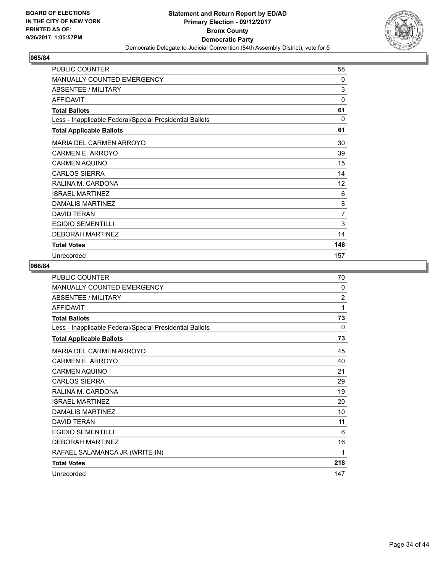

| PUBLIC COUNTER                                           | 58           |
|----------------------------------------------------------|--------------|
| MANUALLY COUNTED EMERGENCY                               | 0            |
| <b>ABSENTEE / MILITARY</b>                               | 3            |
| <b>AFFIDAVIT</b>                                         | 0            |
| <b>Total Ballots</b>                                     | 61           |
| Less - Inapplicable Federal/Special Presidential Ballots | $\mathbf{0}$ |
| <b>Total Applicable Ballots</b>                          | 61           |
| <b>MARIA DEL CARMEN ARROYO</b>                           | 30           |
| CARMEN E. ARROYO                                         | 39           |
| <b>CARMEN AQUINO</b>                                     | 15           |
| <b>CARLOS SIERRA</b>                                     | 14           |
| RALINA M. CARDONA                                        | 12           |
| <b>ISRAEL MARTINEZ</b>                                   | 6            |
| DAMALIS MARTINEZ                                         | 8            |
| <b>DAVID TERAN</b>                                       | 7            |
| <b>EGIDIO SEMENTILLI</b>                                 | 3            |
| <b>DEBORAH MARTINEZ</b>                                  | 14           |
| <b>Total Votes</b>                                       | 148          |
| Unrecorded                                               | 157          |

| <b>PUBLIC COUNTER</b>                                    | 70             |
|----------------------------------------------------------|----------------|
| MANUALLY COUNTED EMERGENCY                               | 0              |
| ABSENTEE / MILITARY                                      | $\overline{2}$ |
| <b>AFFIDAVIT</b>                                         | 1              |
| <b>Total Ballots</b>                                     | 73             |
| Less - Inapplicable Federal/Special Presidential Ballots | 0              |
| <b>Total Applicable Ballots</b>                          | 73             |
| MARIA DEL CARMEN ARROYO                                  | 45             |
| CARMEN E. ARROYO                                         | 40             |
| <b>CARMEN AQUINO</b>                                     | 21             |
| <b>CARLOS SIERRA</b>                                     | 29             |
| RALINA M. CARDONA                                        | 19             |
| <b>ISRAEL MARTINEZ</b>                                   | 20             |
| DAMALIS MARTINEZ                                         | 10             |
| <b>DAVID TERAN</b>                                       | 11             |
| <b>EGIDIO SEMENTILLI</b>                                 | 6              |
| <b>DEBORAH MARTINEZ</b>                                  | 16             |
| RAFAEL SALAMANCA JR (WRITE-IN)                           | 1              |
| <b>Total Votes</b>                                       | 218            |
| Unrecorded                                               | 147            |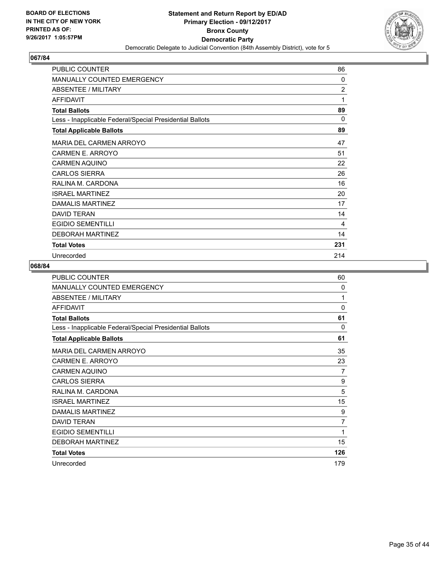

| PUBLIC COUNTER                                           | 86             |
|----------------------------------------------------------|----------------|
| <b>MANUALLY COUNTED EMERGENCY</b>                        | 0              |
| ABSENTEE / MILITARY                                      | $\overline{2}$ |
| <b>AFFIDAVIT</b>                                         | 1              |
| <b>Total Ballots</b>                                     | 89             |
| Less - Inapplicable Federal/Special Presidential Ballots | $\Omega$       |
| <b>Total Applicable Ballots</b>                          | 89             |
| MARIA DEL CARMEN ARROYO                                  | 47             |
| CARMEN E. ARROYO                                         | 51             |
| <b>CARMEN AQUINO</b>                                     | 22             |
| <b>CARLOS SIERRA</b>                                     | 26             |
| RALINA M. CARDONA                                        | 16             |
| <b>ISRAEL MARTINEZ</b>                                   | 20             |
| DAMALIS MARTINEZ                                         | 17             |
| <b>DAVID TERAN</b>                                       | 14             |
| <b>EGIDIO SEMENTILLI</b>                                 | 4              |
| <b>DEBORAH MARTINEZ</b>                                  | 14             |
| <b>Total Votes</b>                                       | 231            |
| Unrecorded                                               | 214            |

| <b>PUBLIC COUNTER</b>                                    | 60       |
|----------------------------------------------------------|----------|
| <b>MANUALLY COUNTED EMERGENCY</b>                        | 0        |
| ABSENTEE / MILITARY                                      | 1        |
| <b>AFFIDAVIT</b>                                         | $\Omega$ |
| <b>Total Ballots</b>                                     | 61       |
| Less - Inapplicable Federal/Special Presidential Ballots | 0        |
| <b>Total Applicable Ballots</b>                          | 61       |
| MARIA DEL CARMEN ARROYO                                  | 35       |
| CARMEN E. ARROYO                                         | 23       |
| <b>CARMEN AQUINO</b>                                     | 7        |
| <b>CARLOS SIERRA</b>                                     | 9        |
| RALINA M. CARDONA                                        | 5        |
| <b>ISRAEL MARTINEZ</b>                                   | 15       |
| DAMALIS MARTINEZ                                         | 9        |
| <b>DAVID TERAN</b>                                       | 7        |
| <b>EGIDIO SEMENTILLI</b>                                 | 1        |
| <b>DEBORAH MARTINEZ</b>                                  | 15       |
| <b>Total Votes</b>                                       | 126      |
| Unrecorded                                               | 179      |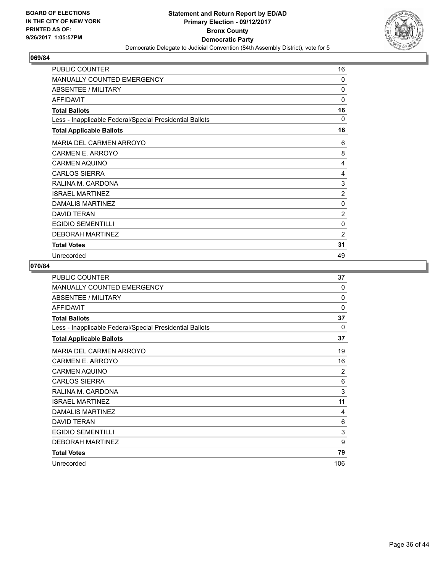

| PUBLIC COUNTER                                           | 16             |
|----------------------------------------------------------|----------------|
| MANUALLY COUNTED EMERGENCY                               | 0              |
| <b>ABSENTEE / MILITARY</b>                               | 0              |
| <b>AFFIDAVIT</b>                                         | 0              |
| <b>Total Ballots</b>                                     | 16             |
| Less - Inapplicable Federal/Special Presidential Ballots | $\Omega$       |
| <b>Total Applicable Ballots</b>                          | 16             |
| MARIA DEL CARMEN ARROYO                                  | 6              |
| <b>CARMEN E. ARROYO</b>                                  | 8              |
| <b>CARMEN AQUINO</b>                                     | 4              |
| <b>CARLOS SIERRA</b>                                     | 4              |
| RALINA M. CARDONA                                        | 3              |
| <b>ISRAEL MARTINEZ</b>                                   | $\overline{2}$ |
| DAMALIS MARTINEZ                                         | 0              |
| <b>DAVID TERAN</b>                                       | $\overline{2}$ |
| <b>EGIDIO SEMENTILLI</b>                                 | 0              |
| <b>DEBORAH MARTINEZ</b>                                  | $\overline{2}$ |
| <b>Total Votes</b>                                       | 31             |
| Unrecorded                                               | 49             |

| <b>PUBLIC COUNTER</b>                                    | 37             |
|----------------------------------------------------------|----------------|
| <b>MANUALLY COUNTED EMERGENCY</b>                        | $\Omega$       |
| ABSENTEE / MILITARY                                      | $\Omega$       |
| <b>AFFIDAVIT</b>                                         | 0              |
| <b>Total Ballots</b>                                     | 37             |
| Less - Inapplicable Federal/Special Presidential Ballots | 0              |
| <b>Total Applicable Ballots</b>                          | 37             |
| MARIA DEL CARMEN ARROYO                                  | 19             |
| CARMEN E. ARROYO                                         | 16             |
| <b>CARMEN AQUINO</b>                                     | $\overline{2}$ |
| <b>CARLOS SIERRA</b>                                     | 6              |
| RALINA M. CARDONA                                        | 3              |
| <b>ISRAEL MARTINEZ</b>                                   | 11             |
| <b>DAMALIS MARTINEZ</b>                                  | 4              |
| <b>DAVID TERAN</b>                                       | 6              |
| <b>EGIDIO SEMENTILLI</b>                                 | 3              |
| <b>DEBORAH MARTINEZ</b>                                  | 9              |
| <b>Total Votes</b>                                       | 79             |
| Unrecorded                                               | 106            |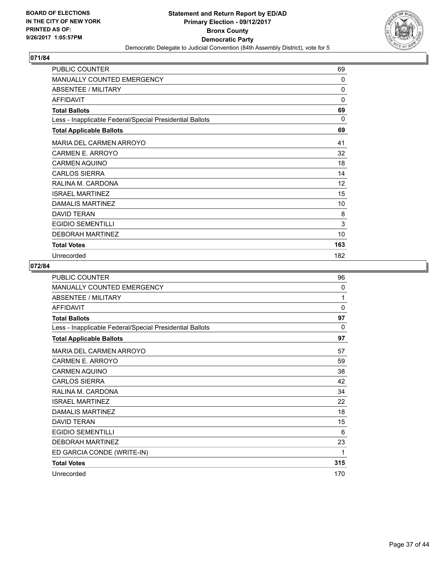

| PUBLIC COUNTER                                           | 69  |
|----------------------------------------------------------|-----|
| <b>MANUALLY COUNTED EMERGENCY</b>                        | 0   |
| <b>ABSENTEE / MILITARY</b>                               | 0   |
| <b>AFFIDAVIT</b>                                         | 0   |
| <b>Total Ballots</b>                                     | 69  |
| Less - Inapplicable Federal/Special Presidential Ballots | 0   |
| <b>Total Applicable Ballots</b>                          | 69  |
| MARIA DEL CARMEN ARROYO                                  | 41  |
| CARMEN E. ARROYO                                         | 32  |
| <b>CARMEN AQUINO</b>                                     | 18  |
| <b>CARLOS SIERRA</b>                                     | 14  |
| RALINA M. CARDONA                                        | 12  |
| <b>ISRAEL MARTINEZ</b>                                   | 15  |
| <b>DAMALIS MARTINEZ</b>                                  | 10  |
| <b>DAVID TERAN</b>                                       | 8   |
| <b>EGIDIO SEMENTILLI</b>                                 | 3   |
| <b>DEBORAH MARTINEZ</b>                                  | 10  |
| <b>Total Votes</b>                                       | 163 |
| Unrecorded                                               | 182 |

| <b>PUBLIC COUNTER</b>                                    | 96       |
|----------------------------------------------------------|----------|
| <b>MANUALLY COUNTED EMERGENCY</b>                        | 0        |
| <b>ABSENTEE / MILITARY</b>                               | 1        |
| <b>AFFIDAVIT</b>                                         | $\Omega$ |
| <b>Total Ballots</b>                                     | 97       |
| Less - Inapplicable Federal/Special Presidential Ballots | 0        |
| <b>Total Applicable Ballots</b>                          | 97       |
| MARIA DEL CARMEN ARROYO                                  | 57       |
| CARMEN E. ARROYO                                         | 59       |
| <b>CARMEN AQUINO</b>                                     | 38       |
| <b>CARLOS SIERRA</b>                                     | 42       |
| RALINA M. CARDONA                                        | 34       |
| <b>ISRAEL MARTINEZ</b>                                   | 22       |
| <b>DAMALIS MARTINEZ</b>                                  | 18       |
| <b>DAVID TERAN</b>                                       | 15       |
| EGIDIO SEMENTILLI                                        | 6        |
| <b>DEBORAH MARTINEZ</b>                                  | 23       |
| ED GARCIA CONDE (WRITE-IN)                               | 1        |
| <b>Total Votes</b>                                       | 315      |
| Unrecorded                                               | 170      |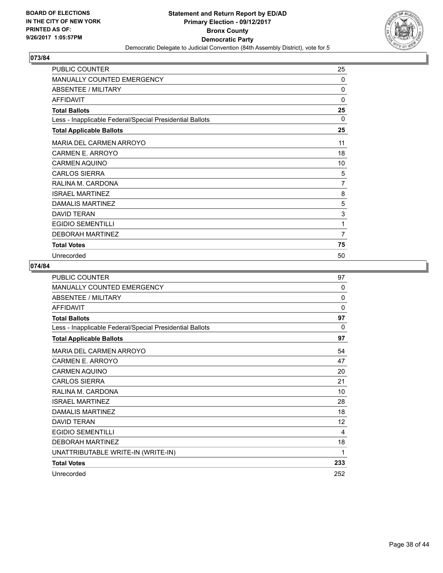

| PUBLIC COUNTER                                           | 25       |
|----------------------------------------------------------|----------|
| MANUALLY COUNTED EMERGENCY                               | 0        |
| <b>ABSENTEE / MILITARY</b>                               | 0        |
| <b>AFFIDAVIT</b>                                         | 0        |
| <b>Total Ballots</b>                                     | 25       |
| Less - Inapplicable Federal/Special Presidential Ballots | $\Omega$ |
| <b>Total Applicable Ballots</b>                          | 25       |
| MARIA DEL CARMEN ARROYO                                  | 11       |
| CARMEN E. ARROYO                                         | 18       |
| <b>CARMEN AQUINO</b>                                     | 10       |
| <b>CARLOS SIERRA</b>                                     | 5        |
| RALINA M. CARDONA                                        | 7        |
| <b>ISRAEL MARTINEZ</b>                                   | 8        |
| DAMALIS MARTINEZ                                         | 5        |
| <b>DAVID TERAN</b>                                       | 3        |
| <b>EGIDIO SEMENTILLI</b>                                 | 1        |
| <b>DEBORAH MARTINEZ</b>                                  | 7        |
| <b>Total Votes</b>                                       | 75       |
| Unrecorded                                               | 50       |

| <b>PUBLIC COUNTER</b>                                    | 97       |
|----------------------------------------------------------|----------|
| MANUALLY COUNTED EMERGENCY                               | 0        |
| <b>ABSENTEE / MILITARY</b>                               | $\Omega$ |
| <b>AFFIDAVIT</b>                                         | $\Omega$ |
| <b>Total Ballots</b>                                     | 97       |
| Less - Inapplicable Federal/Special Presidential Ballots | 0        |
| <b>Total Applicable Ballots</b>                          | 97       |
| <b>MARIA DEL CARMEN ARROYO</b>                           | 54       |
| CARMEN E. ARROYO                                         | 47       |
| <b>CARMEN AQUINO</b>                                     | 20       |
| <b>CARLOS SIERRA</b>                                     | 21       |
| RALINA M. CARDONA                                        | 10       |
| <b>ISRAEL MARTINEZ</b>                                   | 28       |
| <b>DAMALIS MARTINEZ</b>                                  | 18       |
| <b>DAVID TERAN</b>                                       | 12       |
| <b>EGIDIO SEMENTILLI</b>                                 | 4        |
| <b>DEBORAH MARTINEZ</b>                                  | 18       |
| UNATTRIBUTABLE WRITE-IN (WRITE-IN)                       | 1        |
| <b>Total Votes</b>                                       | 233      |
| Unrecorded                                               | 252      |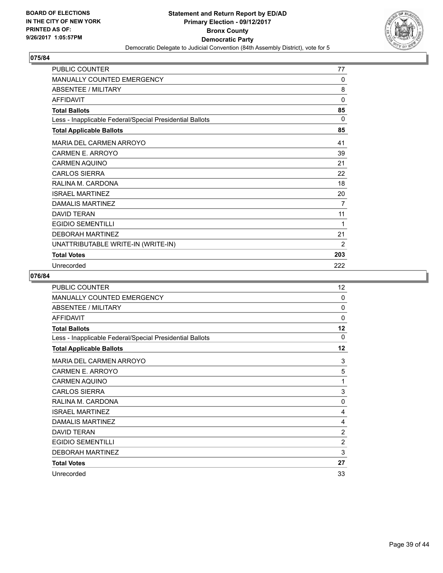

| PUBLIC COUNTER                                           | 77           |
|----------------------------------------------------------|--------------|
| <b>MANUALLY COUNTED EMERGENCY</b>                        | 0            |
| <b>ABSENTEE / MILITARY</b>                               | 8            |
| <b>AFFIDAVIT</b>                                         | $\mathbf{0}$ |
| <b>Total Ballots</b>                                     | 85           |
| Less - Inapplicable Federal/Special Presidential Ballots | $\Omega$     |
| <b>Total Applicable Ballots</b>                          | 85           |
| <b>MARIA DEL CARMEN ARROYO</b>                           | 41           |
| CARMEN E. ARROYO                                         | 39           |
| <b>CARMEN AQUINO</b>                                     | 21           |
| <b>CARLOS SIERRA</b>                                     | 22           |
| RALINA M. CARDONA                                        | 18           |
| <b>ISRAEL MARTINEZ</b>                                   | 20           |
| DAMALIS MARTINEZ                                         | 7            |
| <b>DAVID TERAN</b>                                       | 11           |
| <b>EGIDIO SEMENTILLI</b>                                 | 1            |
| <b>DEBORAH MARTINEZ</b>                                  | 21           |
| UNATTRIBUTABLE WRITE-IN (WRITE-IN)                       | 2            |
| <b>Total Votes</b>                                       | 203          |
| Unrecorded                                               | 222          |

| <b>PUBLIC COUNTER</b>                                    | 12           |
|----------------------------------------------------------|--------------|
| MANUALLY COUNTED EMERGENCY                               | $\mathbf{0}$ |
| <b>ABSENTEE / MILITARY</b>                               | $\mathbf{0}$ |
| <b>AFFIDAVIT</b>                                         | $\mathbf{0}$ |
| <b>Total Ballots</b>                                     | 12           |
| Less - Inapplicable Federal/Special Presidential Ballots | $\mathbf{0}$ |
| <b>Total Applicable Ballots</b>                          | 12           |
| MARIA DEL CARMEN ARROYO                                  | 3            |
| CARMEN E. ARROYO                                         | 5            |
| <b>CARMEN AQUINO</b>                                     | 1            |
| <b>CARLOS SIERRA</b>                                     | 3            |
| RALINA M. CARDONA                                        | 0            |
| <b>ISRAEL MARTINEZ</b>                                   | 4            |
| DAMALIS MARTINEZ                                         | 4            |
| <b>DAVID TERAN</b>                                       | 2            |
| <b>EGIDIO SEMENTILLI</b>                                 | 2            |
| <b>DEBORAH MARTINEZ</b>                                  | 3            |
| <b>Total Votes</b>                                       | 27           |
| Unrecorded                                               | 33           |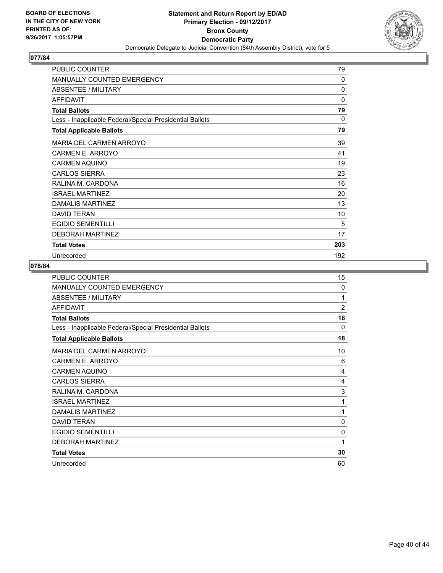

| PUBLIC COUNTER                                           | 79       |
|----------------------------------------------------------|----------|
| <b>MANUALLY COUNTED EMERGENCY</b>                        | 0        |
| ABSENTEE / MILITARY                                      | 0        |
| <b>AFFIDAVIT</b>                                         | 0        |
| <b>Total Ballots</b>                                     | 79       |
| Less - Inapplicable Federal/Special Presidential Ballots | $\Omega$ |
| <b>Total Applicable Ballots</b>                          | 79       |
| MARIA DEL CARMEN ARROYO                                  | 39       |
| CARMEN E. ARROYO                                         | 41       |
| <b>CARMEN AQUINO</b>                                     | 19       |
| <b>CARLOS SIERRA</b>                                     | 23       |
| RALINA M. CARDONA                                        | 16       |
| <b>ISRAEL MARTINEZ</b>                                   | 20       |
| DAMALIS MARTINEZ                                         | 13       |
| <b>DAVID TERAN</b>                                       | 10       |
| <b>EGIDIO SEMENTILLI</b>                                 | 5        |
| <b>DEBORAH MARTINEZ</b>                                  | 17       |
| <b>Total Votes</b>                                       | 203      |
| Unrecorded                                               | 192      |

| <b>PUBLIC COUNTER</b>                                    | 15             |
|----------------------------------------------------------|----------------|
| <b>MANUALLY COUNTED EMERGENCY</b>                        | $\Omega$       |
| <b>ABSENTEE / MILITARY</b>                               | 1              |
| <b>AFFIDAVIT</b>                                         | $\overline{2}$ |
| <b>Total Ballots</b>                                     | 18             |
| Less - Inapplicable Federal/Special Presidential Ballots | 0              |
| <b>Total Applicable Ballots</b>                          | 18             |
| MARIA DEL CARMEN ARROYO                                  | 10             |
| <b>CARMEN E. ARROYO</b>                                  | 6              |
| <b>CARMEN AQUINO</b>                                     | 4              |
| <b>CARLOS SIERRA</b>                                     | 4              |
| RALINA M. CARDONA                                        | 3              |
| <b>ISRAEL MARTINEZ</b>                                   | 1              |
| <b>DAMALIS MARTINEZ</b>                                  | 1              |
| <b>DAVID TERAN</b>                                       | 0              |
| <b>EGIDIO SEMENTILLI</b>                                 | $\mathbf{0}$   |
| <b>DEBORAH MARTINEZ</b>                                  | 1              |
| <b>Total Votes</b>                                       | 30             |
| Unrecorded                                               | 60             |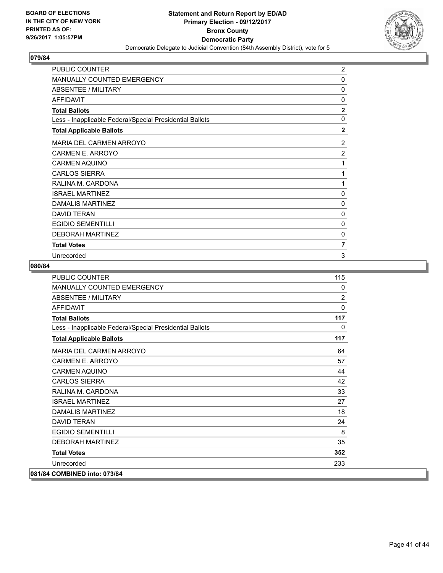

| PUBLIC COUNTER                                           | $\overline{2}$ |
|----------------------------------------------------------|----------------|
| <b>MANUALLY COUNTED EMERGENCY</b>                        | 0              |
| ABSENTEE / MILITARY                                      | 0              |
| <b>AFFIDAVIT</b>                                         | 0              |
| <b>Total Ballots</b>                                     | $\overline{2}$ |
| Less - Inapplicable Federal/Special Presidential Ballots | $\mathbf{0}$   |
| <b>Total Applicable Ballots</b>                          | $\mathbf{2}$   |
| <b>MARIA DEL CARMEN ARROYO</b>                           | 2              |
| <b>CARMEN E. ARROYO</b>                                  | $\overline{2}$ |
| <b>CARMEN AQUINO</b>                                     | 1              |
| <b>CARLOS SIERRA</b>                                     | 1              |
| RALINA M. CARDONA                                        | 1              |
| <b>ISRAEL MARTINEZ</b>                                   | 0              |
| DAMALIS MARTINEZ                                         | 0              |
| <b>DAVID TERAN</b>                                       | 0              |
| <b>EGIDIO SEMENTILLI</b>                                 | 0              |
| <b>DEBORAH MARTINEZ</b>                                  | 0              |
| <b>Total Votes</b>                                       | 7              |
| Unrecorded                                               | 3              |

| PUBLIC COUNTER                                           | 115            |
|----------------------------------------------------------|----------------|
| <b>MANUALLY COUNTED EMERGENCY</b>                        | 0              |
| <b>ABSENTEE / MILITARY</b>                               | $\overline{2}$ |
| <b>AFFIDAVIT</b>                                         | $\Omega$       |
| <b>Total Ballots</b>                                     | 117            |
| Less - Inapplicable Federal/Special Presidential Ballots | 0              |
| <b>Total Applicable Ballots</b>                          | 117            |
| <b>MARIA DEL CARMEN ARROYO</b>                           | 64             |
| <b>CARMEN E. ARROYO</b>                                  | 57             |
| <b>CARMEN AQUINO</b>                                     | 44             |
| <b>CARLOS SIERRA</b>                                     | 42             |
| RALINA M. CARDONA                                        | 33             |
| <b>ISRAFI MARTINFZ</b>                                   | 27             |
| <b>DAMALIS MARTINEZ</b>                                  | 18             |
| <b>DAVID TERAN</b>                                       | 24             |
| <b>EGIDIO SEMENTILLI</b>                                 | 8              |
| <b>DEBORAH MARTINEZ</b>                                  | 35             |
| <b>Total Votes</b>                                       | 352            |
| Unrecorded                                               | 233            |
| 081/84 COMBINED into: 073/84                             |                |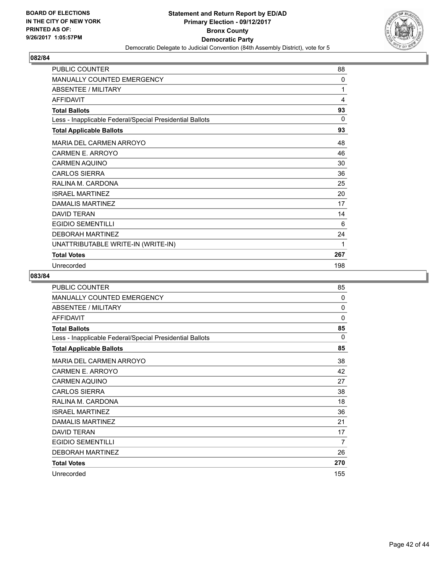

| <b>PUBLIC COUNTER</b>                                    | 88  |
|----------------------------------------------------------|-----|
| <b>MANUALLY COUNTED EMERGENCY</b>                        | 0   |
| ABSENTEE / MILITARY                                      | 1   |
| <b>AFFIDAVIT</b>                                         | 4   |
| <b>Total Ballots</b>                                     | 93  |
| Less - Inapplicable Federal/Special Presidential Ballots | 0   |
| <b>Total Applicable Ballots</b>                          | 93  |
| <b>MARIA DEL CARMEN ARROYO</b>                           | 48  |
| <b>CARMEN E. ARROYO</b>                                  | 46  |
| <b>CARMEN AQUINO</b>                                     | 30  |
| <b>CARLOS SIERRA</b>                                     | 36  |
| RALINA M. CARDONA                                        | 25  |
| <b>ISRAEL MARTINEZ</b>                                   | 20  |
| DAMALIS MARTINEZ                                         | 17  |
| <b>DAVID TERAN</b>                                       | 14  |
| <b>EGIDIO SEMENTILLI</b>                                 | 6   |
| <b>DEBORAH MARTINEZ</b>                                  | 24  |
| UNATTRIBUTABLE WRITE-IN (WRITE-IN)                       | 1   |
| <b>Total Votes</b>                                       | 267 |
| Unrecorded                                               | 198 |

| <b>PUBLIC COUNTER</b>                                    | 85          |
|----------------------------------------------------------|-------------|
| <b>MANUALLY COUNTED EMERGENCY</b>                        | 0           |
| ABSENTEE / MILITARY                                      | 0           |
| <b>AFFIDAVIT</b>                                         | $\mathbf 0$ |
| <b>Total Ballots</b>                                     | 85          |
| Less - Inapplicable Federal/Special Presidential Ballots | 0           |
| <b>Total Applicable Ballots</b>                          | 85          |
| <b>MARIA DEL CARMEN ARROYO</b>                           | 38          |
| CARMEN E. ARROYO                                         | 42          |
| <b>CARMEN AQUINO</b>                                     | 27          |
| <b>CARLOS SIERRA</b>                                     | 38          |
| RALINA M. CARDONA                                        | 18          |
| <b>ISRAEL MARTINEZ</b>                                   | 36          |
| DAMALIS MARTINEZ                                         | 21          |
| <b>DAVID TERAN</b>                                       | 17          |
| <b>EGIDIO SEMENTILLI</b>                                 | 7           |
| <b>DEBORAH MARTINEZ</b>                                  | 26          |
| <b>Total Votes</b>                                       | 270         |
| Unrecorded                                               | 155         |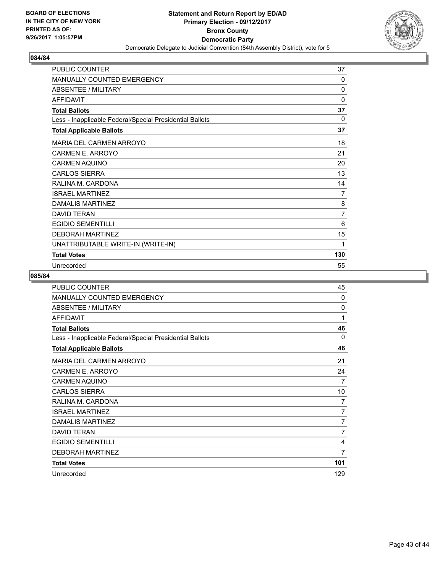

| <b>PUBLIC COUNTER</b>                                    | 37       |
|----------------------------------------------------------|----------|
| <b>MANUALLY COUNTED EMERGENCY</b>                        | 0        |
| <b>ABSENTEE / MILITARY</b>                               | $\Omega$ |
| <b>AFFIDAVIT</b>                                         | 0        |
| <b>Total Ballots</b>                                     | 37       |
| Less - Inapplicable Federal/Special Presidential Ballots | 0        |
| <b>Total Applicable Ballots</b>                          | 37       |
| <b>MARIA DEL CARMEN ARROYO</b>                           | 18       |
| <b>CARMEN E. ARROYO</b>                                  | 21       |
| <b>CARMEN AQUINO</b>                                     | 20       |
| <b>CARLOS SIERRA</b>                                     | 13       |
| RALINA M. CARDONA                                        | 14       |
| <b>ISRAEL MARTINEZ</b>                                   | 7        |
| DAMALIS MARTINEZ                                         | 8        |
| <b>DAVID TERAN</b>                                       | 7        |
| <b>EGIDIO SEMENTILLI</b>                                 | 6        |
| <b>DEBORAH MARTINEZ</b>                                  | 15       |
| UNATTRIBUTABLE WRITE-IN (WRITE-IN)                       | 1        |
| <b>Total Votes</b>                                       | 130      |
| Unrecorded                                               | 55       |

| PUBLIC COUNTER                                           | 45       |
|----------------------------------------------------------|----------|
| <b>MANUALLY COUNTED EMERGENCY</b>                        | $\Omega$ |
| <b>ABSENTEE / MILITARY</b>                               | 0        |
| <b>AFFIDAVIT</b>                                         | 1        |
| <b>Total Ballots</b>                                     | 46       |
| Less - Inapplicable Federal/Special Presidential Ballots | 0        |
| <b>Total Applicable Ballots</b>                          | 46       |
| MARIA DEL CARMEN ARROYO                                  | 21       |
| <b>CARMEN E. ARROYO</b>                                  | 24       |
| <b>CARMEN AQUINO</b>                                     | 7        |
| <b>CARLOS SIERRA</b>                                     | 10       |
| RALINA M. CARDONA                                        | 7        |
| <b>ISRAEL MARTINEZ</b>                                   | 7        |
| DAMALIS MARTINEZ                                         | 7        |
| <b>DAVID TERAN</b>                                       | 7        |
| <b>EGIDIO SEMENTILLI</b>                                 | 4        |
| <b>DEBORAH MARTINEZ</b>                                  | 7        |
| <b>Total Votes</b>                                       | 101      |
| Unrecorded                                               | 129      |